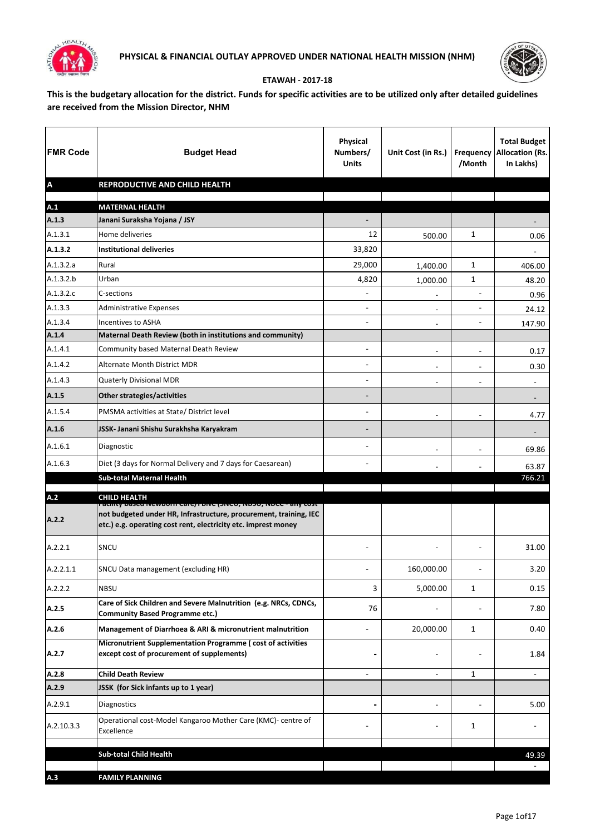



## **ETAWAH - 2017-18**

**This is the budgetary allocation for the district. Funds for specific activities are to be utilized only after detailed guidelines are received from the Mission Director, NHM**

| <b>FMR Code</b>           | <b>Budget Head</b>                                                                                                                                                                                   | <b>Physical</b><br>Numbers/<br><b>Units</b> | Unit Cost (in Rs.)       | /Month                   | <b>Total Budget</b><br><b>Frequency Allocation (Rs.</b><br>In Lakhs) |
|---------------------------|------------------------------------------------------------------------------------------------------------------------------------------------------------------------------------------------------|---------------------------------------------|--------------------------|--------------------------|----------------------------------------------------------------------|
| $\boldsymbol{\mathsf{A}}$ | REPRODUCTIVE AND CHILD HEALTH                                                                                                                                                                        |                                             |                          |                          |                                                                      |
| A.1                       | <b>MATERNAL HEALTH</b>                                                                                                                                                                               |                                             |                          |                          |                                                                      |
| A.1.3                     | Janani Suraksha Yojana / JSY                                                                                                                                                                         |                                             |                          |                          |                                                                      |
| A.1.3.1                   | Home deliveries                                                                                                                                                                                      | 12                                          | 500.00                   | $\mathbf{1}$             | 0.06                                                                 |
| A.1.3.2                   | <b>Institutional deliveries</b>                                                                                                                                                                      | 33,820                                      |                          |                          |                                                                      |
| A.1.3.2.a                 | Rural                                                                                                                                                                                                | 29,000                                      | 1,400.00                 | 1                        | 406.00                                                               |
| A.1.3.2.b                 | Urban                                                                                                                                                                                                | 4,820                                       | 1,000.00                 | 1                        | 48.20                                                                |
| A.1.3.2.c                 | C-sections                                                                                                                                                                                           | $\blacksquare$                              | $\overline{\phantom{a}}$ | $\blacksquare$           | 0.96                                                                 |
| A.1.3.3                   | <b>Administrative Expenses</b>                                                                                                                                                                       | ۰                                           | $\blacksquare$           | $\overline{\phantom{a}}$ | 24.12                                                                |
| A.1.3.4                   | Incentives to ASHA                                                                                                                                                                                   | ۰                                           | $\blacksquare$           | $\overline{\phantom{a}}$ | 147.90                                                               |
| A.1.4                     | Maternal Death Review (both in institutions and community)                                                                                                                                           |                                             |                          |                          |                                                                      |
| A.1.4.1                   | Community based Maternal Death Review                                                                                                                                                                | $\overline{\phantom{0}}$                    |                          |                          | 0.17                                                                 |
| A.1.4.2                   | Alternate Month District MDR                                                                                                                                                                         | ÷                                           | $\blacksquare$           | $\overline{\phantom{m}}$ | 0.30                                                                 |
| A.1.4.3                   | Quaterly Divisional MDR                                                                                                                                                                              |                                             | $\blacksquare$           | $\blacksquare$           | $\blacksquare$                                                       |
| A.1.5                     | Other strategies/activities                                                                                                                                                                          | -                                           |                          |                          |                                                                      |
| A.1.5.4                   | PMSMA activities at State/ District level                                                                                                                                                            | $\blacksquare$                              | $\blacksquare$           | $\blacksquare$           | 4.77                                                                 |
| A.1.6                     | JSSK- Janani Shishu Surakhsha Karyakram                                                                                                                                                              |                                             |                          |                          |                                                                      |
| A.1.6.1                   | Diagnostic                                                                                                                                                                                           | $\blacksquare$                              | $\blacksquare$           | $\overline{\phantom{0}}$ | 69.86                                                                |
| A.1.6.3                   | Diet (3 days for Normal Delivery and 7 days for Caesarean)                                                                                                                                           | ۰                                           |                          |                          | 63.87                                                                |
|                           | <b>Sub-total Maternal Health</b>                                                                                                                                                                     |                                             |                          |                          | 766.21                                                               |
| A.2                       | <b>CHILD HEALTH</b>                                                                                                                                                                                  |                                             |                          |                          |                                                                      |
| A.2.2                     | racinty based Newborn Care/ רווס (אופן דאס), ואסכל - any cost<br>not budgeted under HR, Infrastructure, procurement, training, IEC<br>etc.) e.g. operating cost rent, electricity etc. imprest money |                                             |                          |                          |                                                                      |
| A.2.2.1                   | SNCU                                                                                                                                                                                                 |                                             |                          |                          | 31.00                                                                |
| A.2.2.1.1                 | SNCU Data management (excluding HR)                                                                                                                                                                  |                                             | 160,000.00               |                          | 3.20                                                                 |
| A.2.2.2                   | <b>NBSU</b>                                                                                                                                                                                          | 3                                           | 5,000.00                 | 1                        | 0.15                                                                 |
| A.2.5                     | Care of Sick Children and Severe Malnutrition (e.g. NRCs, CDNCs,<br><b>Community Based Programme etc.)</b>                                                                                           | 76                                          |                          |                          | 7.80                                                                 |
| A.2.6                     | Management of Diarrhoea & ARI & micronutrient malnutrition                                                                                                                                           |                                             | 20,000.00                | 1                        | 0.40                                                                 |
| A.2.7                     | Micronutrient Supplementation Programme (cost of activities<br>except cost of procurement of supplements)                                                                                            |                                             | -                        |                          | 1.84                                                                 |
| A.2.8                     | <b>Child Death Review</b>                                                                                                                                                                            | ÷                                           | $\blacksquare$           | 1                        | $\blacksquare$                                                       |
| A.2.9                     | JSSK (for Sick infants up to 1 year)                                                                                                                                                                 |                                             |                          |                          |                                                                      |
| A.2.9.1                   | Diagnostics                                                                                                                                                                                          |                                             |                          |                          | 5.00                                                                 |
| A.2.10.3.3                | Operational cost-Model Kangaroo Mother Care (KMC)- centre of<br>Excellence                                                                                                                           |                                             |                          | 1                        |                                                                      |
|                           | <b>Sub-total Child Health</b>                                                                                                                                                                        |                                             |                          |                          | 49.39                                                                |
|                           |                                                                                                                                                                                                      |                                             |                          |                          | $\blacksquare$                                                       |
| A.3                       | <b>FAMILY PLANNING</b>                                                                                                                                                                               |                                             |                          |                          |                                                                      |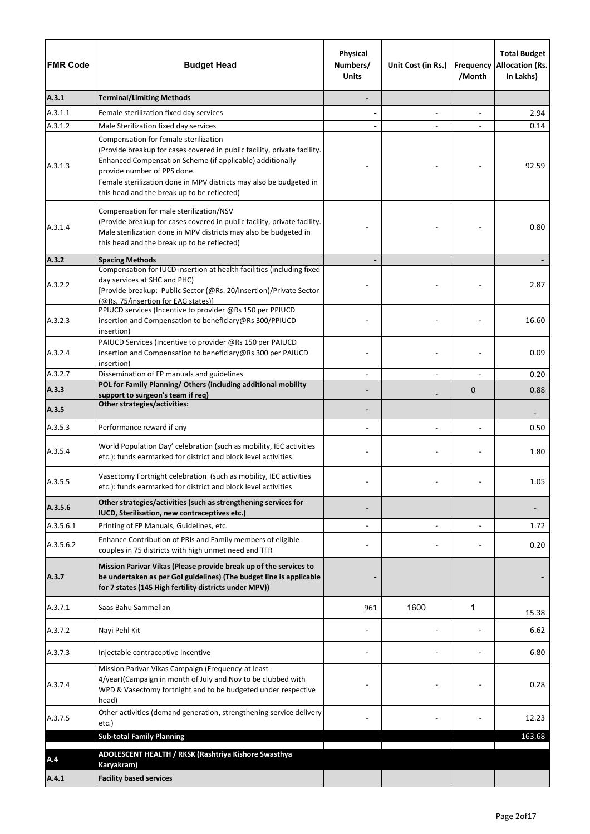| <b>FMR Code</b> | <b>Budget Head</b>                                                                                                                                                                                                                                                                                                                 | Physical<br>Numbers/<br><b>Units</b> | Unit Cost (in Rs.)       | <b>Frequency</b><br>/Month | <b>Total Budget</b><br><b>Allocation (Rs.</b><br>In Lakhs) |
|-----------------|------------------------------------------------------------------------------------------------------------------------------------------------------------------------------------------------------------------------------------------------------------------------------------------------------------------------------------|--------------------------------------|--------------------------|----------------------------|------------------------------------------------------------|
| A.3.1           | <b>Terminal/Limiting Methods</b>                                                                                                                                                                                                                                                                                                   |                                      |                          |                            |                                                            |
| A.3.1.1         | Female sterilization fixed day services                                                                                                                                                                                                                                                                                            |                                      | $\blacksquare$           |                            | 2.94                                                       |
| A.3.1.2         | Male Sterilization fixed day services                                                                                                                                                                                                                                                                                              |                                      |                          |                            | 0.14                                                       |
| A.3.1.3         | Compensation for female sterilization<br>(Provide breakup for cases covered in public facility, private facility.<br>Enhanced Compensation Scheme (if applicable) additionally<br>provide number of PPS done.<br>Female sterilization done in MPV districts may also be budgeted in<br>this head and the break up to be reflected) |                                      |                          |                            | 92.59                                                      |
| A.3.1.4         | Compensation for male sterilization/NSV<br>(Provide breakup for cases covered in public facility, private facility.<br>Male sterilization done in MPV districts may also be budgeted in<br>this head and the break up to be reflected)                                                                                             |                                      |                          |                            | 0.80                                                       |
| A.3.2           | <b>Spacing Methods</b>                                                                                                                                                                                                                                                                                                             |                                      |                          |                            |                                                            |
| A.3.2.2         | Compensation for IUCD insertion at health facilities (including fixed<br>day services at SHC and PHC)<br>[Provide breakup: Public Sector (@Rs. 20/insertion)/Private Sector<br>(@Rs. 75/insertion for EAG states)]                                                                                                                 |                                      |                          |                            | 2.87                                                       |
| A.3.2.3         | PPIUCD services (Incentive to provider @Rs 150 per PPIUCD<br>insertion and Compensation to beneficiary@Rs 300/PPIUCD<br>insertion)                                                                                                                                                                                                 |                                      |                          |                            | 16.60                                                      |
| A.3.2.4         | PAIUCD Services (Incentive to provider @Rs 150 per PAIUCD<br>insertion and Compensation to beneficiary@Rs 300 per PAIUCD<br>insertion)                                                                                                                                                                                             |                                      |                          |                            | 0.09                                                       |
| A.3.2.7         | Dissemination of FP manuals and guidelines                                                                                                                                                                                                                                                                                         |                                      | $\overline{a}$           |                            | 0.20                                                       |
| A.3.3           | POL for Family Planning/ Others (including additional mobility<br>support to surgeon's team if req)                                                                                                                                                                                                                                |                                      |                          | $\mathbf 0$                | 0.88                                                       |
| A.3.5           | <b>Other strategies/activities:</b>                                                                                                                                                                                                                                                                                                |                                      |                          |                            |                                                            |
| A.3.5.3         | Performance reward if any                                                                                                                                                                                                                                                                                                          |                                      | $\overline{\phantom{a}}$ |                            | 0.50                                                       |
| A.3.5.4         | World Population Day' celebration (such as mobility, IEC activities<br>etc.): funds earmarked for district and block level activities                                                                                                                                                                                              |                                      |                          |                            | 1.80                                                       |
| A.3.5.5         | Vasectomy Fortnight celebration (such as mobility, IEC activities<br>etc.): funds earmarked for district and block level activities                                                                                                                                                                                                |                                      |                          |                            | 1.05                                                       |
| A.3.5.6         | Other strategies/activities (such as strengthening services for<br>IUCD, Sterilisation, new contraceptives etc.)                                                                                                                                                                                                                   |                                      |                          |                            |                                                            |
| A.3.5.6.1       | Printing of FP Manuals, Guidelines, etc.                                                                                                                                                                                                                                                                                           |                                      |                          |                            | 1.72                                                       |
| A.3.5.6.2       | Enhance Contribution of PRIs and Family members of eligible<br>couples in 75 districts with high unmet need and TFR                                                                                                                                                                                                                |                                      |                          |                            | 0.20                                                       |
| A.3.7           | Mission Parivar Vikas (Please provide break up of the services to<br>be undertaken as per GoI guidelines) (The budget line is applicable<br>for 7 states (145 High fertility districts under MPV))                                                                                                                                 |                                      |                          |                            |                                                            |
| A.3.7.1         | Saas Bahu Sammellan                                                                                                                                                                                                                                                                                                                | 961                                  | 1600                     | 1                          | 15.38                                                      |
| A.3.7.2         | Nayi Pehl Kit                                                                                                                                                                                                                                                                                                                      |                                      |                          |                            | 6.62                                                       |
| A.3.7.3         | Injectable contraceptive incentive                                                                                                                                                                                                                                                                                                 |                                      |                          |                            | 6.80                                                       |
| A.3.7.4         | Mission Parivar Vikas Campaign (Frequency-at least<br>4/year)(Campaign in month of July and Nov to be clubbed with<br>WPD & Vasectomy fortnight and to be budgeted under respective<br>head)                                                                                                                                       |                                      |                          |                            | 0.28                                                       |
| A.3.7.5         | Other activities (demand generation, strengthening service delivery<br>etc.)                                                                                                                                                                                                                                                       |                                      |                          |                            | 12.23                                                      |
|                 | <b>Sub-total Family Planning</b>                                                                                                                                                                                                                                                                                                   |                                      |                          |                            | 163.68                                                     |
| A.4             | ADOLESCENT HEALTH / RKSK (Rashtriya Kishore Swasthya<br>Karyakram)                                                                                                                                                                                                                                                                 |                                      |                          |                            |                                                            |
| A.4.1           | <b>Facility based services</b>                                                                                                                                                                                                                                                                                                     |                                      |                          |                            |                                                            |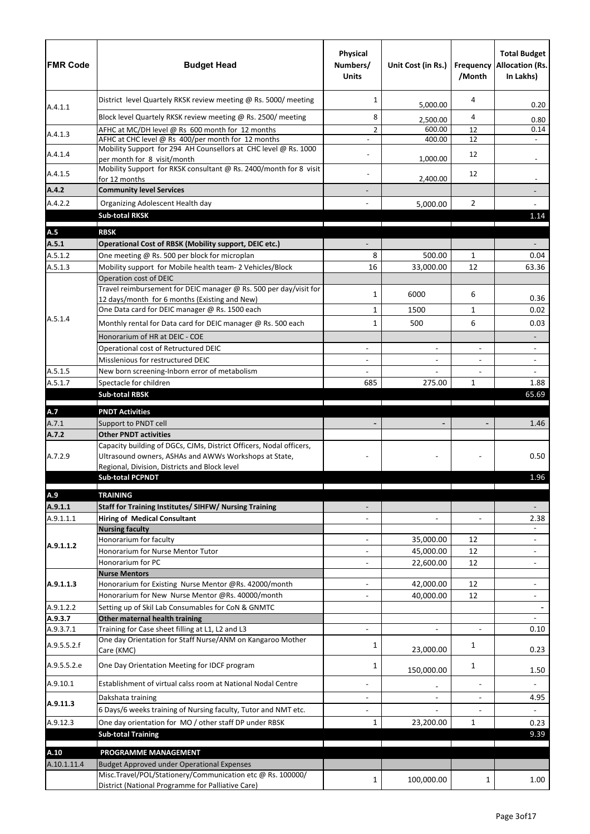| <b>FMR Code</b>      | <b>Budget Head</b>                                                                                                | Physical<br>Numbers/<br><b>Units</b> | Unit Cost (in Rs.)   | /Month         | <b>Total Budget</b><br><b>Frequency Allocation (Rs.</b><br>In Lakhs) |
|----------------------|-------------------------------------------------------------------------------------------------------------------|--------------------------------------|----------------------|----------------|----------------------------------------------------------------------|
|                      | District level Quartely RKSK review meeting @ Rs. 5000/ meeting                                                   | 1                                    | 5,000.00             | 4              | 0.20                                                                 |
| A.4.1.1              | Block level Quartely RKSK review meeting @ Rs. 2500/ meeting                                                      | 8                                    | 2,500.00             | 4              | 0.80                                                                 |
|                      | AFHC at MC/DH level @ Rs 600 month for 12 months                                                                  | $\overline{2}$                       | 600.00               | 12             | 0.14                                                                 |
| A.4.1.3              | AFHC at CHC level @ Rs 400/per month for 12 months                                                                |                                      | 400.00               | 12             |                                                                      |
| A.4.1.4              | Mobility Support for 294 AH Counsellors at CHC level @ Rs. 1000                                                   |                                      |                      | 12             |                                                                      |
| A.4.1.5              | per month for 8 visit/month<br>Mobility Support for RKSK consultant @ Rs. 2400/month for 8 visit<br>for 12 months |                                      | 1,000.00<br>2,400.00 | 12             |                                                                      |
| A.4.2                | <b>Community level Services</b>                                                                                   |                                      |                      |                |                                                                      |
| A.4.2.2              | Organizing Adolescent Health day                                                                                  |                                      | 5,000.00             | $\overline{2}$ |                                                                      |
|                      | <b>Sub-total RKSK</b>                                                                                             |                                      |                      |                | 1.14                                                                 |
|                      |                                                                                                                   |                                      |                      |                |                                                                      |
| A.5                  | <b>RBSK</b>                                                                                                       |                                      |                      |                |                                                                      |
| A.5.1<br>A.5.1.2     | Operational Cost of RBSK (Mobility support, DEIC etc.)<br>One meeting @ Rs. 500 per block for microplan           | 8                                    | 500.00               | $\mathbf{1}$   | 0.04                                                                 |
| A.5.1.3              | Mobility support for Mobile health team- 2 Vehicles/Block                                                         | 16                                   | 33,000.00            | 12             | 63.36                                                                |
|                      | Operation cost of DEIC                                                                                            |                                      |                      |                |                                                                      |
|                      | Travel reimbursement for DEIC manager @ Rs. 500 per day/visit for                                                 |                                      |                      |                |                                                                      |
|                      | 12 days/month for 6 months (Existing and New)                                                                     | 1                                    | 6000                 | 6              | 0.36                                                                 |
|                      | One Data card for DEIC manager @ Rs. 1500 each                                                                    | 1                                    | 1500                 | $\mathbf{1}$   | 0.02                                                                 |
| A.5.1.4              | Monthly rental for Data card for DEIC manager @ Rs. 500 each                                                      | 1                                    | 500                  | 6              | 0.03                                                                 |
|                      | Honorarium of HR at DEIC - COE                                                                                    |                                      |                      |                |                                                                      |
|                      | Operational cost of Retructured DEIC                                                                              |                                      |                      | $\blacksquare$ |                                                                      |
|                      | Misslenious for restructured DEIC                                                                                 |                                      |                      |                | $\blacksquare$                                                       |
| A.5.1.5              | New born screening-Inborn error of metabolism                                                                     |                                      |                      |                |                                                                      |
| A.5.1.7              | Spectacle for children                                                                                            | 685                                  | 275.00               | $\mathbf{1}$   | 1.88                                                                 |
|                      | <b>Sub-total RBSK</b>                                                                                             |                                      |                      |                | 65.69                                                                |
| A.7                  | <b>PNDT Activities</b>                                                                                            |                                      |                      |                |                                                                      |
| A.7.1                | Support to PNDT cell                                                                                              |                                      |                      |                | 1.46                                                                 |
| A.7.2                | <b>Other PNDT activities</b>                                                                                      |                                      |                      |                |                                                                      |
|                      | Capacity building of DGCs, CJMs, District Officers, Nodal officers,                                               |                                      |                      |                |                                                                      |
| A.7.2.9              | Ultrasound owners, ASHAs and AWWs Workshops at State,                                                             |                                      |                      |                | 0.50                                                                 |
|                      | Regional, Division, Districts and Block level                                                                     |                                      |                      |                |                                                                      |
|                      | <b>Sub-total PCPNDT</b>                                                                                           |                                      |                      |                | 1.96                                                                 |
| A.9                  | <b>TRAINING</b>                                                                                                   |                                      |                      |                |                                                                      |
| A.9.1.1              | <b>Staff for Training Institutes/ SIHFW/ Nursing Training</b>                                                     |                                      |                      |                |                                                                      |
| A.9.1.1.1            | <b>Hiring of Medical Consultant</b>                                                                               |                                      | $\blacksquare$       | $\overline{a}$ | 2.38                                                                 |
|                      | <b>Nursing faculty</b>                                                                                            |                                      |                      |                |                                                                      |
| A.9.1.1.2            | Honorarium for faculty                                                                                            |                                      | 35,000.00            | 12             |                                                                      |
|                      | Honorarium for Nurse Mentor Tutor                                                                                 |                                      | 45,000.00            | 12             | $\overline{\phantom{a}}$                                             |
|                      | Honorarium for PC                                                                                                 |                                      | 22,600.00            | 12             |                                                                      |
|                      | <b>Nurse Mentors</b>                                                                                              |                                      |                      |                |                                                                      |
| A.9.1.1.3            | Honorarium for Existing Nurse Mentor @Rs. 42000/month                                                             |                                      | 42,000.00            | 12             |                                                                      |
|                      | Honorarium for New Nurse Mentor @Rs. 40000/month                                                                  |                                      | 40,000.00            | 12             |                                                                      |
| A.9.1.2.2<br>A.9.3.7 | Setting up of Skil Lab Consumables for CoN & GNMTC<br>Other maternal health training                              |                                      |                      |                |                                                                      |
| A.9.3.7.1            | Training for Case sheet filling at L1, L2 and L3                                                                  |                                      |                      | $\omega$       | 0.10                                                                 |
| A.9.5.5.2.f          | One day Orientation for Staff Nurse/ANM on Kangaroo Mother<br>Care (KMC)                                          | 1                                    | 23,000.00            | 1              | 0.23                                                                 |
| A.9.5.5.2.e          | One Day Orientation Meeting for IDCF program                                                                      | 1                                    | 150,000.00           | 1              | 1.50                                                                 |
| A.9.10.1             | Establishment of virtual calss room at National Nodal Centre                                                      |                                      |                      | $\blacksquare$ |                                                                      |
| A.9.11.3             | Dakshata training                                                                                                 |                                      | $\blacksquare$       | $\blacksquare$ | 4.95                                                                 |
|                      | 6 Days/6 weeks training of Nursing faculty, Tutor and NMT etc.                                                    |                                      |                      |                |                                                                      |
| A.9.12.3             | One day orientation for MO / other staff DP under RBSK                                                            | 1                                    | 23,200.00            | $\mathbf{1}$   | 0.23                                                                 |
|                      | <b>Sub-total Training</b>                                                                                         |                                      |                      |                | 9.39                                                                 |
| A.10                 | PROGRAMME MANAGEMENT                                                                                              |                                      |                      |                |                                                                      |
| A.10.1.11.4          | Budget Approved under Operational Expenses                                                                        |                                      |                      |                |                                                                      |
|                      | Misc.Travel/POL/Stationery/Communication etc @ Rs. 100000/<br>District (National Programme for Palliative Care)   | 1                                    | 100,000.00           | 1              | 1.00                                                                 |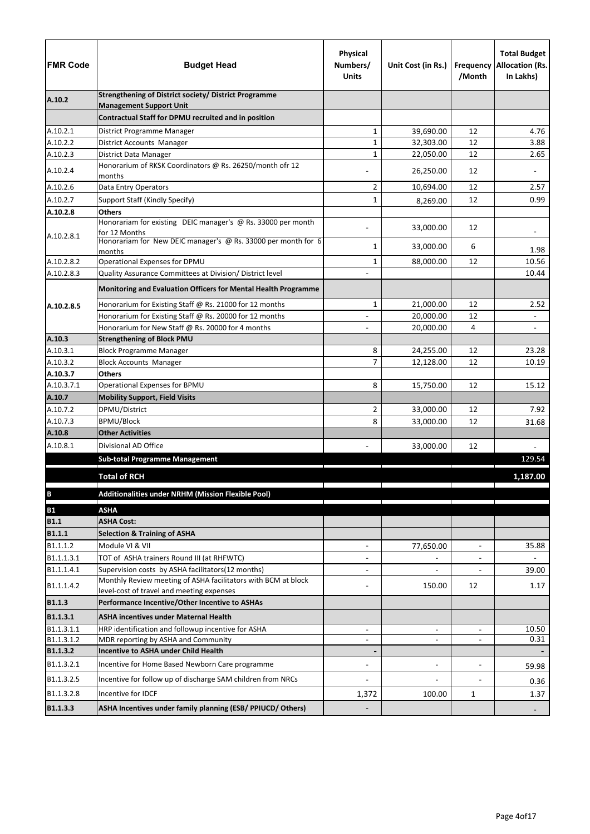| <b>FMR Code</b>      | <b>Budget Head</b>                                                                                         | Physical<br>Numbers/<br><b>Units</b> | Unit Cost (in Rs.)       | Frequency<br>/Month | <b>Total Budget</b><br><b>Allocation (Rs.</b><br>In Lakhs) |
|----------------------|------------------------------------------------------------------------------------------------------------|--------------------------------------|--------------------------|---------------------|------------------------------------------------------------|
| A.10.2               | <b>Strengthening of District society/ District Programme</b>                                               |                                      |                          |                     |                                                            |
|                      | <b>Management Support Unit</b><br>Contractual Staff for DPMU recruited and in position                     |                                      |                          |                     |                                                            |
|                      |                                                                                                            |                                      |                          |                     |                                                            |
| A.10.2.1<br>A.10.2.2 | District Programme Manager<br>District Accounts Manager                                                    | 1<br>$\mathbf 1$                     | 39,690.00<br>32,303.00   | 12<br>12            | 4.76<br>3.88                                               |
| A.10.2.3             | District Data Manager                                                                                      | $\mathbf 1$                          | 22,050.00                | 12                  | 2.65                                                       |
|                      | Honorarium of RKSK Coordinators @ Rs. 26250/month ofr 12                                                   |                                      |                          |                     |                                                            |
| A.10.2.4             | months                                                                                                     |                                      | 26,250.00                | 12                  |                                                            |
| A.10.2.6             | Data Entry Operators                                                                                       | 2                                    | 10,694.00                | 12                  | 2.57                                                       |
| A.10.2.7             | Support Staff (Kindly Specify)                                                                             | 1                                    | 8,269.00                 | 12                  | 0.99                                                       |
| A.10.2.8             | <b>Others</b>                                                                                              |                                      |                          |                     |                                                            |
|                      | Honorariam for existing DEIC manager's @ Rs. 33000 per month                                               |                                      | 33,000.00                | 12                  |                                                            |
| A.10.2.8.1           | for 12 Months<br>Honorariam for New DEIC manager's @ Rs. 33000 per month for 6                             |                                      |                          |                     |                                                            |
|                      | months                                                                                                     | 1                                    | 33,000.00                | 6                   | 1.98                                                       |
| A.10.2.8.2           | Operational Expenses for DPMU                                                                              | $\mathbf{1}$                         | 88,000.00                | 12                  | 10.56                                                      |
| A.10.2.8.3           | Quality Assurance Committees at Division/ District level                                                   |                                      |                          |                     | 10.44                                                      |
|                      | Monitoring and Evaluation Officers for Mental Health Programme                                             |                                      |                          |                     |                                                            |
| A.10.2.8.5           | Honorarium for Existing Staff @ Rs. 21000 for 12 months                                                    | 1                                    | 21,000.00                | 12                  | 2.52                                                       |
|                      | Honorarium for Existing Staff @ Rs. 20000 for 12 months                                                    |                                      | 20,000.00                | 12                  |                                                            |
|                      | Honorarium for New Staff @ Rs. 20000 for 4 months                                                          |                                      | 20,000.00                | 4                   |                                                            |
| A.10.3               | <b>Strengthening of Block PMU</b>                                                                          |                                      |                          |                     |                                                            |
| A.10.3.1             | <b>Block Programme Manager</b>                                                                             | 8                                    | 24,255.00                | 12                  | 23.28                                                      |
| A.10.3.2             | <b>Block Accounts Manager</b>                                                                              | 7                                    | 12,128.00                | 12                  | 10.19                                                      |
| A.10.3.7             | <b>Others</b>                                                                                              |                                      |                          |                     |                                                            |
| A.10.3.7.1           | Operational Expenses for BPMU                                                                              | 8                                    | 15,750.00                | 12                  | 15.12                                                      |
| A.10.7               | <b>Mobility Support, Field Visits</b>                                                                      |                                      |                          |                     |                                                            |
| A.10.7.2             | DPMU/District                                                                                              | $\overline{2}$                       | 33,000.00                | 12                  | 7.92                                                       |
| A.10.7.3             | <b>BPMU/Block</b>                                                                                          | 8                                    | 33,000.00                | 12                  | 31.68                                                      |
| A.10.8               | <b>Other Activities</b>                                                                                    |                                      |                          |                     |                                                            |
| A.10.8.1             | Divisional AD Office                                                                                       |                                      | 33,000.00                | 12                  |                                                            |
|                      | <b>Sub-total Programme Management</b>                                                                      |                                      |                          |                     | 129.54                                                     |
|                      | <b>Total of RCH</b>                                                                                        |                                      |                          |                     | 1,187.00                                                   |
| $\, {\bf B}$         | Additionalities under NRHM (Mission Flexible Pool)                                                         |                                      |                          |                     |                                                            |
| <b>B1</b>            | <b>ASHA</b>                                                                                                |                                      |                          |                     |                                                            |
| <b>B1.1</b>          | <b>ASHA Cost:</b>                                                                                          |                                      |                          |                     |                                                            |
| <b>B1.1.1</b>        | <b>Selection &amp; Training of ASHA</b>                                                                    |                                      |                          |                     |                                                            |
| B1.1.1.2             | Module VI & VII                                                                                            | $\overline{\phantom{a}}$             | 77,650.00                | $\blacksquare$      | 35.88                                                      |
| B1.1.1.3.1           | TOT of ASHA trainers Round III (at RHFWTC)                                                                 |                                      |                          |                     |                                                            |
| B1.1.1.4.1           | Supervision costs by ASHA facilitators(12 months)                                                          | $\blacksquare$                       |                          |                     | 39.00                                                      |
| B1.1.1.4.2           | Monthly Review meeting of ASHA facilitators with BCM at block<br>level-cost of travel and meeting expenses |                                      | 150.00                   | 12                  | 1.17                                                       |
| <b>B1.1.3</b>        | Performance Incentive/Other Incentive to ASHAs                                                             |                                      |                          |                     |                                                            |
| B1.1.3.1             | <b>ASHA incentives under Maternal Health</b>                                                               |                                      |                          |                     |                                                            |
| B1.1.3.1.1           | HRP identification and followup incentive for ASHA                                                         | $\blacksquare$                       | $\overline{\phantom{a}}$ | $\blacksquare$      | 10.50                                                      |
| B1.1.3.1.2           | MDR reporting by ASHA and Community                                                                        |                                      | $\blacksquare$           | $\blacksquare$      | 0.31                                                       |
| B1.1.3.2             | <b>Incentive to ASHA under Child Health</b>                                                                |                                      |                          |                     |                                                            |
| B1.1.3.2.1           | Incentive for Home Based Newborn Care programme                                                            | $\blacksquare$                       | $\blacksquare$           | $\blacksquare$      | 59.98                                                      |
|                      |                                                                                                            |                                      |                          |                     |                                                            |
| B1.1.3.2.5           | Incentive for follow up of discharge SAM children from NRCs                                                |                                      |                          |                     | 0.36                                                       |
| B1.1.3.2.8           | Incentive for IDCF                                                                                         | 1,372                                | 100.00                   | 1                   | 1.37                                                       |
| B1.1.3.3             | ASHA Incentives under family planning (ESB/ PPIUCD/ Others)                                                |                                      |                          |                     |                                                            |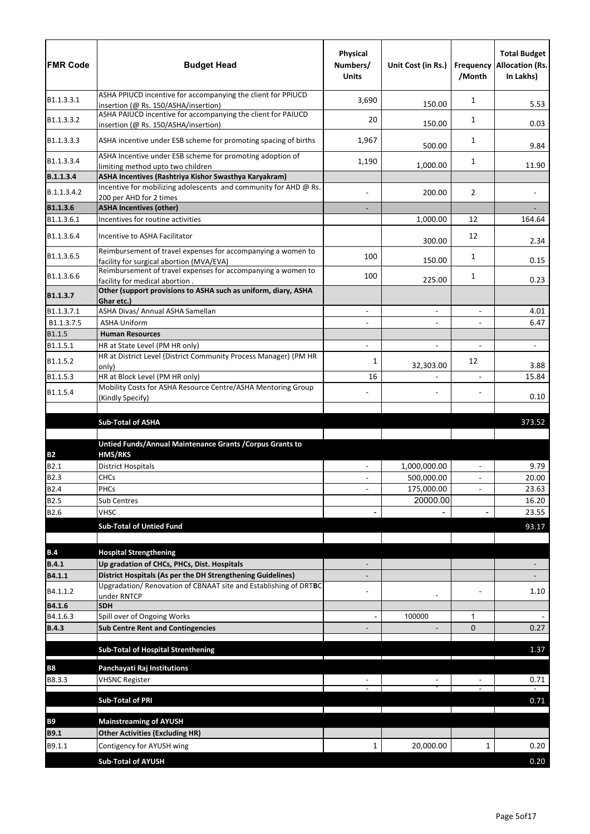| <b>FMR Code</b>       | <b>Budget Head</b>                                                                                                              | Physical<br>Numbers/<br><b>Units</b> | Unit Cost (in Rs.) | /Month                   | <b>Total Budget</b><br><b>Frequency Allocation (Rs.</b><br>In Lakhs) |
|-----------------------|---------------------------------------------------------------------------------------------------------------------------------|--------------------------------------|--------------------|--------------------------|----------------------------------------------------------------------|
| B1.1.3.3.1            | ASHA PPIUCD incentive for accompanying the client for PPIUCD<br>insertion (@ Rs. 150/ASHA/insertion)                            | 3,690                                | 150.00             | 1                        | 5.53                                                                 |
| B1.1.3.3.2            | ASHA PAIUCD incentive for accompanying the client for PAIUCD<br>insertion (@ Rs. 150/ASHA/insertion)                            | 20                                   | 150.00             | 1                        | 0.03                                                                 |
| B1.1.3.3.3            | ASHA incentive under ESB scheme for promoting spacing of births                                                                 | 1,967                                | 500.00             | 1                        | 9.84                                                                 |
| B1.1.3.3.4            | ASHA Incentive under ESB scheme for promoting adoption of<br>limiting method upto two children                                  | 1,190                                | 1,000.00           | 1                        | 11.90                                                                |
| B.1.1.3.4             | ASHA Incentives (Rashtriya Kishor Swasthya Karyakram)                                                                           |                                      |                    |                          |                                                                      |
| B.1.1.3.4.2           | Incentive for mobilizing adolescents and community for AHD @ Rs.<br>200 per AHD for 2 times                                     |                                      | 200.00             | 2                        |                                                                      |
| B1.1.3.6              | <b>ASHA Incentives (other)</b>                                                                                                  |                                      |                    |                          |                                                                      |
| B1.1.3.6.1            | Incentives for routine activities                                                                                               |                                      | 1,000.00           | 12                       | 164.64                                                               |
| B1.1.3.6.4            | Incentive to ASHA Facilitator                                                                                                   |                                      | 300.00             | 12                       | 2.34                                                                 |
| B1.1.3.6.5            | Reimbursement of travel expenses for accompanying a women to<br>facility for surgical abortion (MVA/EVA)                        | 100                                  | 150.00             | 1                        | 0.15                                                                 |
| B1.1.3.6.6            | Reimbursement of travel expenses for accompanying a women to<br>facility for medical abortion.                                  | 100                                  | 225.00             | 1                        | 0.23                                                                 |
| B1.1.3.7              | Other (support provisions to ASHA such as uniform, diary, ASHA<br>Ghar etc.)                                                    |                                      |                    |                          |                                                                      |
| B1.1.3.7.1            | ASHA Divas/ Annual ASHA Samellan                                                                                                |                                      | $\blacksquare$     | $\overline{a}$           | 4.01                                                                 |
| B1.1.3.7.5            | <b>ASHA Uniform</b>                                                                                                             |                                      | $\blacksquare$     | $\overline{\phantom{0}}$ | 6.47                                                                 |
| B1.1.5                | <b>Human Resources</b>                                                                                                          |                                      |                    |                          |                                                                      |
| B1.1.5.1              | HR at State Level (PM HR only)<br>HR at District Level (District Community Process Manager) (PM HR                              |                                      | $\blacksquare$     |                          | $\blacksquare$                                                       |
| B1.1.5.2              | only)                                                                                                                           | 1                                    | 32,303.00          | 12                       | 3.88                                                                 |
| B1.1.5.3              | HR at Block Level (PM HR only)                                                                                                  | 16                                   |                    | $\blacksquare$           | 15.84                                                                |
| B1.1.5.4              | Mobility Costs for ASHA Resource Centre/ASHA Mentoring Group<br>(Kindly Specify)                                                |                                      |                    |                          | 0.10                                                                 |
|                       | <b>Sub-Total of ASHA</b>                                                                                                        |                                      |                    |                          | 373.52                                                               |
|                       |                                                                                                                                 |                                      |                    |                          |                                                                      |
|                       | Untied Funds/Annual Maintenance Grants / Corpus Grants to                                                                       |                                      |                    |                          |                                                                      |
| <b>B2</b>             | <b>HMS/RKS</b>                                                                                                                  |                                      | 1,000,000.00       |                          | 9.79                                                                 |
| B2.1<br><b>B2.3</b>   | <b>District Hospitals</b><br><b>CHCs</b>                                                                                        | $\blacksquare$                       | 500,000.00         | $\blacksquare$           | 20.00                                                                |
| <b>B2.4</b>           | PHCs                                                                                                                            |                                      | 175,000.00         | $\blacksquare$           | 23.63                                                                |
| <b>B2.5</b>           | Sub Centres                                                                                                                     |                                      | 20000.00           |                          | 16.20                                                                |
| B2.6                  | <b>VHSC</b>                                                                                                                     |                                      |                    |                          | 23.55                                                                |
|                       | <b>Sub-Total of Untied Fund</b>                                                                                                 |                                      |                    |                          | 93.17                                                                |
|                       |                                                                                                                                 |                                      |                    |                          |                                                                      |
| B.4                   | <b>Hospital Strengthening</b>                                                                                                   |                                      |                    |                          |                                                                      |
| <b>B.4.1</b>          | Up gradation of CHCs, PHCs, Dist. Hospitals                                                                                     |                                      |                    |                          |                                                                      |
| B4.1.1                | District Hospitals (As per the DH Strengthening Guidelines)<br>Upgradation/ Renovation of CBNAAT site and Establishing of DRTBC |                                      |                    |                          |                                                                      |
| B4.1.1.2              | under RNTCP                                                                                                                     |                                      |                    |                          | 1.10                                                                 |
| B4.1.6                | <b>SDH</b>                                                                                                                      |                                      |                    |                          |                                                                      |
| B4.1.6.3              | Spill over of Ongoing Works                                                                                                     |                                      | 100000             | 1                        |                                                                      |
| <b>B.4.3</b>          | <b>Sub Centre Rent and Contingencies</b>                                                                                        |                                      |                    | $\Omega$                 | 0.27                                                                 |
|                       | <b>Sub-Total of Hospital Strenthening</b>                                                                                       |                                      |                    |                          | 1.37                                                                 |
| <b>B8</b>             | Panchayati Raj Institutions                                                                                                     |                                      |                    |                          |                                                                      |
| B8.3.3                | <b>VHSNC Register</b>                                                                                                           |                                      |                    |                          | 0.71                                                                 |
|                       | <b>Sub-Total of PRI</b>                                                                                                         |                                      |                    |                          | 0.71                                                                 |
|                       |                                                                                                                                 |                                      |                    |                          |                                                                      |
| <b>B9</b>             | <b>Mainstreaming of AYUSH</b>                                                                                                   |                                      |                    |                          |                                                                      |
| <b>B9.1</b><br>B9.1.1 | <b>Other Activities (Excluding HR)</b><br>Contigency for AYUSH wing                                                             | 1                                    | 20,000.00          | 1                        | 0.20                                                                 |
|                       |                                                                                                                                 |                                      |                    |                          |                                                                      |
|                       | <b>Sub-Total of AYUSH</b>                                                                                                       |                                      |                    |                          | 0.20                                                                 |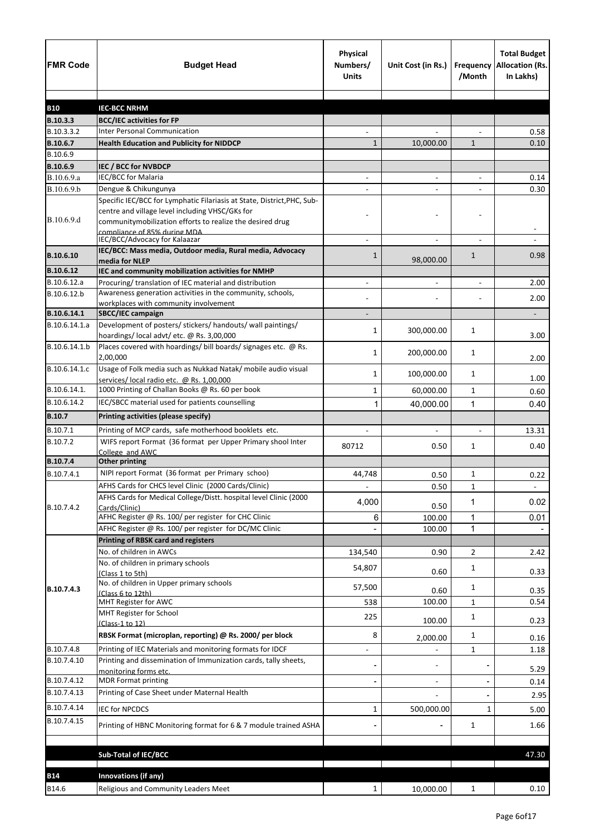| <b>FMR Code</b> | <b>Budget Head</b>                                                                                                                                                                      | Physical<br>Numbers/<br><b>Units</b> | Unit Cost (in Rs.)       | Frequency<br>/Month | <b>Total Budget</b><br><b>Allocation (Rs.</b><br>In Lakhs) |
|-----------------|-----------------------------------------------------------------------------------------------------------------------------------------------------------------------------------------|--------------------------------------|--------------------------|---------------------|------------------------------------------------------------|
|                 |                                                                                                                                                                                         |                                      |                          |                     |                                                            |
| <b>B10</b>      | <b>IEC-BCC NRHM</b>                                                                                                                                                                     |                                      |                          |                     |                                                            |
| B.10.3.3        | <b>BCC/IEC activities for FP</b><br><b>Inter Personal Communication</b>                                                                                                                 |                                      |                          |                     |                                                            |
| B.10.3.3.2      |                                                                                                                                                                                         |                                      |                          |                     | 0.58                                                       |
| B.10.6.7        | <b>Health Education and Publicity for NIDDCP</b>                                                                                                                                        | 1                                    | 10,000.00                | $\mathbf{1}$        | 0.10                                                       |
| B.10.6.9        |                                                                                                                                                                                         |                                      |                          |                     |                                                            |
| B.10.6.9        | IEC / BCC for NVBDCP                                                                                                                                                                    |                                      |                          |                     |                                                            |
| B.10.6.9.a      | IEC/BCC for Malaria                                                                                                                                                                     | $\blacksquare$                       | $\blacksquare$           | $\blacksquare$      | 0.14                                                       |
| B.10.6.9.b      | Dengue & Chikungunya                                                                                                                                                                    |                                      |                          |                     | 0.30                                                       |
| B.10.6.9.d      | Specific IEC/BCC for Lymphatic Filariasis at State, District, PHC, Sub-<br>centre and village level including VHSC/GKs for<br>communitymobilization efforts to realize the desired drug |                                      |                          |                     |                                                            |
|                 | compliance of 85% during MDA.                                                                                                                                                           |                                      |                          |                     |                                                            |
|                 | IEC/BCC/Advocacy for Kalaazar                                                                                                                                                           |                                      |                          |                     |                                                            |
| B.10.6.10       | IEC/BCC: Mass media, Outdoor media, Rural media, Advocacy<br>media for NLEP                                                                                                             | 1                                    | 98,000.00                | $\mathbf{1}$        | 0.98                                                       |
| B.10.6.12       | IEC and community mobilization activities for NMHP                                                                                                                                      |                                      |                          |                     |                                                            |
| B.10.6.12.a     | Procuring/ translation of IEC material and distribution                                                                                                                                 |                                      |                          |                     | 2.00                                                       |
| B.10.6.12.b     | Awareness generation activities in the community, schools,<br>workplaces with community involvement                                                                                     |                                      |                          |                     | 2.00                                                       |
| B.10.6.14.1     | SBCC/IEC campaign                                                                                                                                                                       |                                      |                          |                     | -                                                          |
| B.10.6.14.1.a   | Development of posters/ stickers/ handouts/ wall paintings/                                                                                                                             |                                      |                          |                     |                                                            |
|                 | hoardings/local advt/etc. @ Rs. 3,00,000                                                                                                                                                | 1                                    | 300,000.00               | 1                   | 3.00                                                       |
| B.10.6.14.1.b   | Places covered with hoardings/ bill boards/ signages etc. @ Rs.<br>2,00,000                                                                                                             | 1                                    | 200,000.00               | 1                   | 2.00                                                       |
| B.10.6.14.1.c   | Usage of Folk media such as Nukkad Natak/ mobile audio visual                                                                                                                           | 1                                    | 100,000.00               | 1                   | 1.00                                                       |
| B.10.6.14.1.    | services/local radio etc. @ Rs. 1,00,000<br>1000 Printing of Challan Books @ Rs. 60 per book                                                                                            |                                      | 60,000.00                | $\mathbf{1}$        |                                                            |
| B.10.6.14.2     | IEC/SBCC material used for patients counselling                                                                                                                                         | 1                                    |                          |                     | 0.60                                                       |
|                 |                                                                                                                                                                                         | 1                                    | 40,000.00                | 1                   | 0.40                                                       |
| <b>B.10.7</b>   | Printing activities (please specify)                                                                                                                                                    |                                      |                          |                     |                                                            |
| B.10.7.1        | Printing of MCP cards, safe motherhood booklets etc.                                                                                                                                    |                                      |                          |                     | 13.31                                                      |
| B.10.7.2        | WIFS report Format (36 format per Upper Primary shool Inter<br>College and AWC                                                                                                          | 80712                                | 0.50                     | 1                   | 0.40                                                       |
| B.10.7.4        | <b>Other printing</b>                                                                                                                                                                   |                                      |                          |                     |                                                            |
| B.10.7.4.1      | NIPI report Format (36 format per Primary schoo)                                                                                                                                        | 44,748                               | 0.50                     | 1                   | 0.22                                                       |
|                 | AFHS Cards for CHCS level Clinic (2000 Cards/Clinic)                                                                                                                                    |                                      | 0.50                     | $\mathbf{1}$        |                                                            |
|                 | AFHS Cards for Medical College/Distt. hospital level Clinic (2000                                                                                                                       | 4,000                                |                          | 1                   | 0.02                                                       |
| B.10.7.4.2      | Cards/Clinic)                                                                                                                                                                           |                                      | 0.50                     |                     |                                                            |
|                 | AFHC Register @ Rs. 100/ per register for CHC Clinic                                                                                                                                    | 6                                    | 100.00                   | $\mathbf{1}$        | 0.01                                                       |
|                 | AFHC Register @ Rs. 100/ per register for DC/MC Clinic                                                                                                                                  |                                      | 100.00                   | 1                   |                                                            |
|                 | <b>Printing of RBSK card and registers</b>                                                                                                                                              |                                      |                          |                     |                                                            |
|                 | No. of children in AWCs                                                                                                                                                                 | 134,540                              | 0.90                     | 2                   | 2.42                                                       |
|                 | No. of children in primary schools<br>(Class 1 to 5th)                                                                                                                                  | 54,807                               | 0.60                     | 1                   | 0.33                                                       |
| B.10.7.4.3      | No. of children in Upper primary schools                                                                                                                                                | 57,500                               | 0.60                     | 1                   | 0.35                                                       |
|                 | (Class 6 to 12th)<br>MHT Register for AWC                                                                                                                                               | 538                                  | 100.00                   | 1                   | 0.54                                                       |
|                 | MHT Register for School<br>(Class-1 to 12)                                                                                                                                              | 225                                  | 100.00                   | 1                   | 0.23                                                       |
|                 | RBSK Format (microplan, reporting) @ Rs. 2000/ per block                                                                                                                                | 8                                    | 2,000.00                 | $\mathbf{1}$        | 0.16                                                       |
| B.10.7.4.8      | Printing of IEC Materials and monitoring formats for IDCF                                                                                                                               | $\qquad \qquad \blacksquare$         |                          | 1                   | 1.18                                                       |
| B.10.7.4.10     | Printing and dissemination of Immunization cards, tally sheets,<br>monitoring forms etc.                                                                                                |                                      | $\overline{\phantom{a}}$ |                     | 5.29                                                       |
| B.10.7.4.12     | <b>MDR Format printing</b>                                                                                                                                                              |                                      | $\overline{\phantom{a}}$ |                     | 0.14                                                       |
| B.10.7.4.13     | Printing of Case Sheet under Maternal Health                                                                                                                                            |                                      |                          |                     | 2.95                                                       |
| B.10.7.4.14     | <b>IEC for NPCDCS</b>                                                                                                                                                                   | 1                                    | 500,000.00               | 1                   | 5.00                                                       |
| B.10.7.4.15     | Printing of HBNC Monitoring format for 6 & 7 module trained ASHA                                                                                                                        |                                      |                          | $\mathbf{1}$        | 1.66                                                       |
|                 |                                                                                                                                                                                         |                                      |                          |                     |                                                            |
|                 | <b>Sub-Total of IEC/BCC</b>                                                                                                                                                             |                                      |                          |                     | 47.30                                                      |
|                 |                                                                                                                                                                                         |                                      |                          |                     |                                                            |
| <b>B14</b>      | Innovations (if any)                                                                                                                                                                    |                                      |                          |                     |                                                            |
| B14.6           | Religious and Community Leaders Meet                                                                                                                                                    | $\mathbf{1}$                         | 10,000.00                | $\mathbf{1}$        | 0.10                                                       |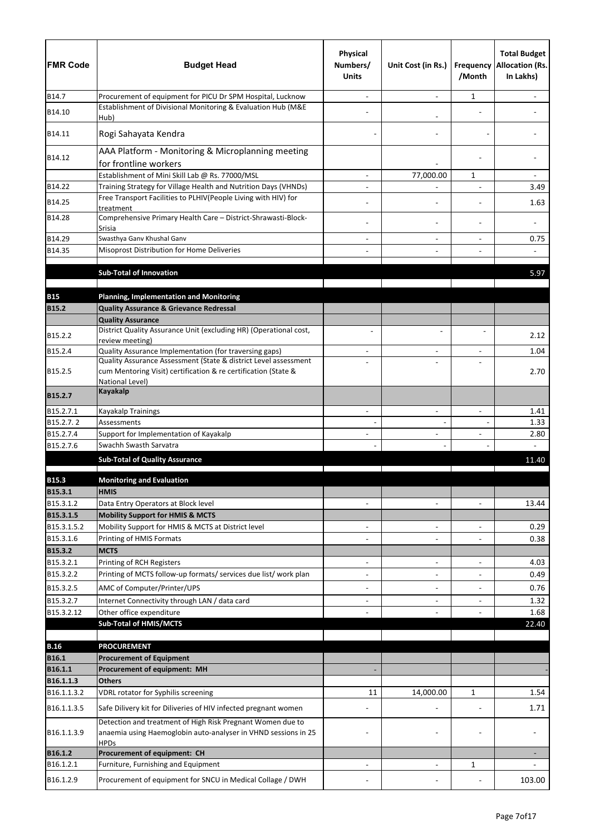| <b>FMR Code</b>          | <b>Budget Head</b>                                                                                                                          | <b>Physical</b><br>Numbers/<br><b>Units</b> | Unit Cost (in Rs.)                                   | Frequency<br>/Month      | <b>Total Budget</b><br><b>Allocation (Rs.</b><br>In Lakhs) |
|--------------------------|---------------------------------------------------------------------------------------------------------------------------------------------|---------------------------------------------|------------------------------------------------------|--------------------------|------------------------------------------------------------|
| B14.7                    | Procurement of equipment for PICU Dr SPM Hospital, Lucknow                                                                                  |                                             |                                                      | 1                        |                                                            |
| B14.10                   | Establishment of Divisional Monitoring & Evaluation Hub (M&E<br>Hub)                                                                        |                                             |                                                      |                          |                                                            |
| B14.11                   | Rogi Sahayata Kendra                                                                                                                        |                                             |                                                      |                          |                                                            |
| B14.12                   | AAA Platform - Monitoring & Microplanning meeting<br>for frontline workers                                                                  |                                             |                                                      |                          |                                                            |
|                          | Establishment of Mini Skill Lab @ Rs. 77000/MSL                                                                                             |                                             | 77,000.00                                            | 1                        |                                                            |
| B14.22                   | Training Strategy for Village Health and Nutrition Days (VHNDs)                                                                             |                                             |                                                      |                          | 3.49                                                       |
| B14.25                   | Free Transport Facilities to PLHIV(People Living with HIV) for<br>treatment                                                                 |                                             |                                                      |                          | 1.63                                                       |
| B14.28                   | Comprehensive Primary Health Care - District-Shrawasti-Block-<br>Srisia                                                                     |                                             |                                                      |                          |                                                            |
| B14.29                   | Swasthya Ganv Khushal Ganv                                                                                                                  |                                             | $\overline{\phantom{a}}$                             |                          | 0.75                                                       |
| B14.35                   | Misoprost Distribution for Home Deliveries                                                                                                  |                                             |                                                      |                          |                                                            |
|                          | <b>Sub-Total of Innovation</b>                                                                                                              |                                             |                                                      |                          | 5.97                                                       |
|                          |                                                                                                                                             |                                             |                                                      |                          |                                                            |
| <b>B15</b>               | <b>Planning, Implementation and Monitoring</b>                                                                                              |                                             |                                                      |                          |                                                            |
| <b>B15.2</b>             | <b>Quality Assurance &amp; Grievance Redressal</b>                                                                                          |                                             |                                                      |                          |                                                            |
|                          | <b>Quality Assurance</b>                                                                                                                    |                                             |                                                      |                          |                                                            |
| B15.2.2                  | District Quality Assurance Unit (excluding HR) (Operational cost,<br>review meeting)                                                        |                                             |                                                      |                          | 2.12                                                       |
| B15.2.4                  | Quality Assurance Implementation (for traversing gaps)                                                                                      |                                             |                                                      |                          | 1.04                                                       |
|                          | Quality Assurance Assessment (State & district Level assessment                                                                             |                                             | $\overline{\phantom{0}}$                             |                          |                                                            |
| B15.2.5                  | cum Mentoring Visit) certification & re certification (State &<br>National Level)                                                           |                                             |                                                      |                          | 2.70                                                       |
| B15.2.7                  | <b>Kayakalp</b>                                                                                                                             |                                             |                                                      |                          |                                                            |
| B15.2.7.1                | <b>Kayakalp Trainings</b>                                                                                                                   |                                             |                                                      |                          | 1.41                                                       |
| B15.2.7.2                | Assessments                                                                                                                                 |                                             |                                                      |                          | 1.33                                                       |
| B15.2.7.4<br>B15.2.7.6   | Support for Implementation of Kayakalp<br>Swachh Swasth Sarvatra                                                                            | $\overline{\phantom{0}}$                    | $\overline{a}$                                       |                          | 2.80                                                       |
|                          |                                                                                                                                             |                                             |                                                      |                          |                                                            |
|                          | <b>Sub-Total of Quality Assurance</b>                                                                                                       |                                             |                                                      |                          | 11.40                                                      |
| <b>B15.3</b>             | <b>Monitoring and Evaluation</b>                                                                                                            |                                             |                                                      |                          |                                                            |
| B15.3.1                  | <b>HMIS</b>                                                                                                                                 |                                             |                                                      |                          |                                                            |
| B15.3.1.2                | Data Entry Operators at Block level                                                                                                         | $\overline{a}$                              | $\blacksquare$                                       | $\overline{\phantom{a}}$ | 13.44                                                      |
| B15.3.1.5                | <b>Mobility Support for HMIS &amp; MCTS</b>                                                                                                 |                                             |                                                      |                          |                                                            |
| B15.3.1.5.2<br>B15.3.1.6 | Mobility Support for HMIS & MCTS at District level<br>Printing of HMIS Formats                                                              | $\overline{\phantom{a}}$                    | $\overline{\phantom{a}}$<br>$\overline{\phantom{a}}$ | $\overline{a}$           | 0.29<br>0.38                                               |
| B15.3.2                  | <b>MCTS</b>                                                                                                                                 |                                             |                                                      |                          |                                                            |
| B15.3.2.1                | Printing of RCH Registers                                                                                                                   |                                             | $\blacksquare$                                       | $\overline{a}$           | 4.03                                                       |
| B15.3.2.2                | Printing of MCTS follow-up formats/ services due list/ work plan                                                                            |                                             | $\overline{\phantom{a}}$                             |                          | 0.49                                                       |
| B15.3.2.5                | AMC of Computer/Printer/UPS                                                                                                                 | $\overline{\phantom{0}}$                    |                                                      |                          | 0.76                                                       |
| B15.3.2.7                | Internet Connectivity through LAN / data card                                                                                               | $\overline{\phantom{0}}$                    | $\blacksquare$                                       | $\overline{\phantom{a}}$ | 1.32                                                       |
| B15.3.2.12               | Other office expenditure                                                                                                                    |                                             |                                                      |                          | 1.68                                                       |
|                          | <b>Sub-Total of HMIS/MCTS</b>                                                                                                               |                                             |                                                      |                          | 22.40                                                      |
| <b>B.16</b>              | <b>PROCUREMENT</b>                                                                                                                          |                                             |                                                      |                          |                                                            |
| <b>B16.1</b>             | <b>Procurement of Equipment</b>                                                                                                             |                                             |                                                      |                          |                                                            |
| B16.1.1                  | Procurement of equipment: MH                                                                                                                |                                             |                                                      |                          |                                                            |
| B16.1.1.3                | <b>Others</b>                                                                                                                               |                                             |                                                      |                          |                                                            |
| B16.1.1.3.2              | VDRL rotator for Syphilis screening                                                                                                         | 11                                          | 14,000.00                                            | 1                        | 1.54                                                       |
| B16.1.1.3.5              | Safe Dilivery kit for Diliveries of HIV infected pregnant women                                                                             |                                             |                                                      |                          | 1.71                                                       |
| B16.1.1.3.9              | Detection and treatment of High Risk Pregnant Women due to<br>anaemia using Haemoglobin auto-analyser in VHND sessions in 25<br><b>HPDs</b> |                                             |                                                      |                          |                                                            |
| B16.1.2                  | Procurement of equipment: CH                                                                                                                |                                             |                                                      |                          |                                                            |
| B16.1.2.1                | Furniture, Furnishing and Equipment                                                                                                         |                                             |                                                      | 1                        |                                                            |
| B16.1.2.9                | Procurement of equipment for SNCU in Medical Collage / DWH                                                                                  |                                             |                                                      |                          | 103.00                                                     |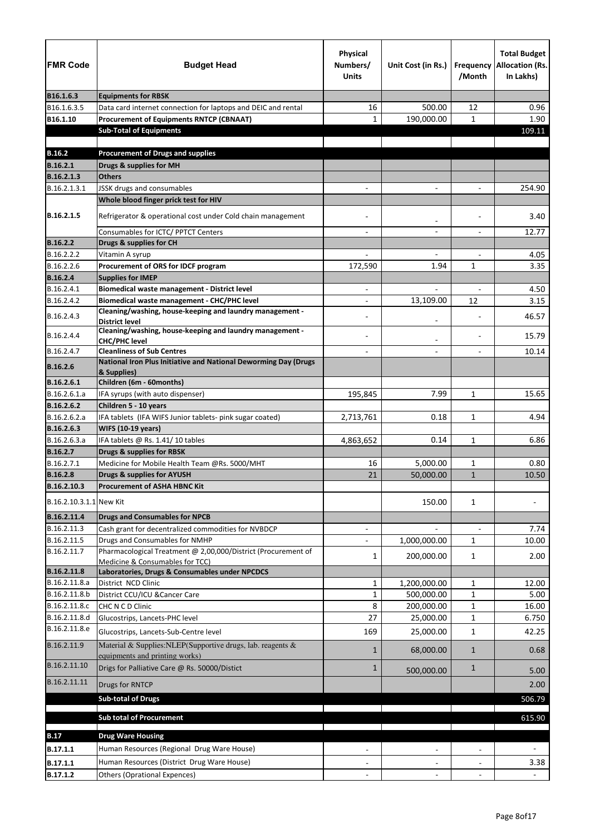| <b>FMR Code</b>              | <b>Budget Head</b>                                                                                             | <b>Physical</b><br>Numbers/<br><b>Units</b> | Unit Cost (in Rs.)         | /Month                      | <b>Total Budget</b><br>Frequency Allocation (Rs.<br>In Lakhs) |
|------------------------------|----------------------------------------------------------------------------------------------------------------|---------------------------------------------|----------------------------|-----------------------------|---------------------------------------------------------------|
| B16.1.6.3                    | <b>Equipments for RBSK</b>                                                                                     |                                             |                            |                             |                                                               |
| B16.1.6.3.5                  | Data card internet connection for laptops and DEIC and rental                                                  | 16                                          | 500.00                     | 12                          | 0.96                                                          |
| B16.1.10                     | <b>Procurement of Equipments RNTCP (CBNAAT)</b>                                                                | $\mathbf{1}$                                | 190,000.00                 | $\mathbf{1}$                | 1.90                                                          |
|                              | <b>Sub-Total of Equipments</b>                                                                                 |                                             |                            |                             | 109.11                                                        |
|                              |                                                                                                                |                                             |                            |                             |                                                               |
| <b>B.16.2</b>                | <b>Procurement of Drugs and supplies</b>                                                                       |                                             |                            |                             |                                                               |
| <b>B.16.2.1</b>              | Drugs & supplies for MH                                                                                        |                                             |                            |                             |                                                               |
| B.16.2.1.3                   | <b>Others</b>                                                                                                  |                                             |                            |                             |                                                               |
| B.16.2.1.3.1                 | JSSK drugs and consumables<br>Whole blood finger prick test for HIV                                            |                                             |                            |                             | 254.90                                                        |
| B.16.2.1.5                   |                                                                                                                |                                             |                            |                             | 3.40                                                          |
|                              | Refrigerator & operational cost under Cold chain management                                                    |                                             | $\overline{\phantom{a}}$   |                             |                                                               |
|                              | Consumables for ICTC/ PPTCT Centers                                                                            |                                             |                            |                             | 12.77                                                         |
| <b>B.16.2.2</b>              | Drugs & supplies for CH                                                                                        |                                             |                            |                             |                                                               |
| B.16.2.2.2                   | Vitamin A syrup                                                                                                |                                             | $\overline{\phantom{a}}$   |                             | 4.05                                                          |
| B.16.2.2.6                   | Procurement of ORS for IDCF program                                                                            | 172,590                                     | 1.94                       | $\mathbf{1}$                | 3.35                                                          |
| <b>B.16.2.4</b>              | <b>Supplies for IMEP</b>                                                                                       |                                             |                            |                             |                                                               |
| B.16.2.4.1                   | <b>Biomedical waste management - District level</b>                                                            | $\overline{\phantom{0}}$                    | $\overline{\phantom{a}}$   | $\overline{a}$              | 4.50                                                          |
| B.16.2.4.2                   | <b>Biomedical waste management - CHC/PHC level</b><br>Cleaning/washing, house-keeping and laundry management - |                                             | 13,109.00                  | 12                          | 3.15                                                          |
| B.16.2.4.3                   | <b>District level</b>                                                                                          |                                             |                            |                             | 46.57                                                         |
| B.16.2.4.4                   | Cleaning/washing, house-keeping and laundry management -<br><b>CHC/PHC level</b>                               |                                             |                            |                             | 15.79                                                         |
| B.16.2.4.7                   | <b>Cleanliness of Sub Centres</b>                                                                              |                                             | $\overline{\phantom{a}}$   |                             | 10.14                                                         |
| <b>B.16.2.6</b>              | National Iron Plus Initiative and National Deworming Day (Drugs                                                |                                             |                            |                             |                                                               |
| B.16.2.6.1                   | & Supplies)<br>Children (6m - 60months)                                                                        |                                             |                            |                             |                                                               |
| B.16.2.6.1.a                 | IFA syrups (with auto dispenser)                                                                               | 195,845                                     | 7.99                       | $\mathbf{1}$                | 15.65                                                         |
| IB.16.2.6.2                  | Children 5 - 10 years                                                                                          |                                             |                            |                             |                                                               |
| B.16.2.6.2.a                 | IFA tablets (IFA WIFS Junior tablets- pink sugar coated)                                                       | 2,713,761                                   | 0.18                       | $\mathbf{1}$                | 4.94                                                          |
| B.16.2.6.3                   | <b>WIFS (10-19 years)</b>                                                                                      |                                             |                            |                             |                                                               |
| B.16.2.6.3.a                 | IFA tablets @ Rs. 1.41/10 tables                                                                               | 4,863,652                                   | 0.14                       | 1                           | 6.86                                                          |
| B.16.2.7                     | Drugs & supplies for RBSK                                                                                      |                                             |                            |                             |                                                               |
| B.16.2.7.1                   | Medicine for Mobile Health Team @Rs. 5000/MHT                                                                  | 16                                          | 5,000.00                   | 1                           | 0.80                                                          |
| <b>B.16.2.8</b>              | <b>Drugs &amp; supplies for AYUSH</b>                                                                          | 21                                          | 50,000.00                  | $\mathbf{1}$                | 10.50                                                         |
| B.16.2.10.3                  | <b>Procurement of ASHA HBNC Kit</b>                                                                            |                                             |                            |                             |                                                               |
| B.16.2.10.3.1.1 New Kit      |                                                                                                                |                                             | 150.00                     | $\mathbf{1}$                |                                                               |
| B.16.2.11.4                  | <b>Drugs and Consumables for NPCB</b>                                                                          |                                             |                            |                             |                                                               |
| B.16.2.11.3                  | Cash grant for decentralized commodities for NVBDCP                                                            |                                             |                            |                             | 7.74                                                          |
| B.16.2.11.5                  | Drugs and Consumables for NMHP                                                                                 |                                             | 1,000,000.00               | $\mathbf{1}$                | 10.00                                                         |
| B.16.2.11.7                  | Pharmacological Treatment @ 2,00,000/District (Procurement of                                                  | 1                                           | 200,000.00                 | $\mathbf{1}$                | 2.00                                                          |
|                              | Medicine & Consumables for TCC)                                                                                |                                             |                            |                             |                                                               |
| B.16.2.11.8<br>B.16.2.11.8.a | Laboratories, Drugs & Consumables under NPCDCS<br>District NCD Clinic                                          |                                             |                            |                             |                                                               |
| B.16.2.11.8.b                | District CCU/ICU & Cancer Care                                                                                 | $\mathbf{1}$<br>1                           | 1,200,000.00<br>500,000.00 | $\mathbf{1}$<br>$\mathbf 1$ | 12.00<br>5.00                                                 |
| B.16.2.11.8.c                | CHC N C D Clinic                                                                                               | 8                                           | 200,000.00                 | 1                           | 16.00                                                         |
| B.16.2.11.8.d                | Glucostrips, Lancets-PHC level                                                                                 | 27                                          | 25,000.00                  | 1                           | 6.750                                                         |
| B.16.2.11.8.e                | Glucostrips, Lancets-Sub-Centre level                                                                          | 169                                         | 25,000.00                  | $\mathbf{1}$                | 42.25                                                         |
| B.16.2.11.9                  | Material & Supplies: NLEP(Supportive drugs, lab. reagents &                                                    | 1                                           | 68,000.00                  | $\mathbf{1}$                | 0.68                                                          |
| B.16.2.11.10                 | equipments and printing works)                                                                                 |                                             |                            |                             |                                                               |
| B.16.2.11.11                 | Drigs for Palliative Care @ Rs. 50000/Distict                                                                  | 1                                           | 500,000.00                 | $\mathbf{1}$                | 5.00                                                          |
|                              | Drugs for RNTCP<br><b>Sub-total of Drugs</b>                                                                   |                                             |                            |                             | 2.00<br>506.79                                                |
|                              |                                                                                                                |                                             |                            |                             |                                                               |
|                              | <b>Sub total of Procurement</b>                                                                                |                                             |                            |                             | 615.90                                                        |
| <b>B.17</b>                  | <b>Drug Ware Housing</b>                                                                                       |                                             |                            |                             |                                                               |
| B.17.1.1                     | Human Resources (Regional Drug Ware House)                                                                     |                                             |                            |                             |                                                               |
| B.17.1.1                     | Human Resources (District Drug Ware House)                                                                     |                                             |                            |                             | 3.38                                                          |
| B.17.1.2                     | <b>Others (Oprational Expences)</b>                                                                            |                                             |                            |                             |                                                               |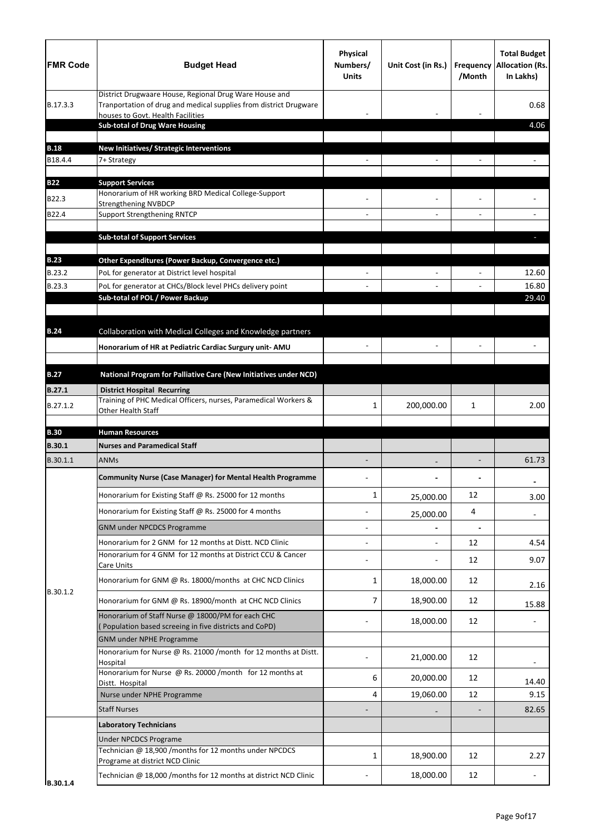| <b>FMR Code</b> | <b>Budget Head</b>                                                                                                                                               | <b>Physical</b><br>Numbers/<br><b>Units</b> | Unit Cost (in Rs.) | <b>Frequency</b><br>/Month | <b>Total Budget</b><br><b>Allocation (Rs.</b><br>In Lakhs) |
|-----------------|------------------------------------------------------------------------------------------------------------------------------------------------------------------|---------------------------------------------|--------------------|----------------------------|------------------------------------------------------------|
| B.17.3.3        | District Drugwaare House, Regional Drug Ware House and<br>Tranportation of drug and medical supplies from district Drugware<br>houses to Govt. Health Facilities |                                             |                    |                            | 0.68                                                       |
|                 | <b>Sub-total of Drug Ware Housing</b>                                                                                                                            |                                             |                    |                            | 4.06                                                       |
| <b>B.18</b>     | New Initiatives/ Strategic Interventions                                                                                                                         |                                             |                    |                            |                                                            |
| B18.4.4         | 7+ Strategy                                                                                                                                                      |                                             |                    |                            |                                                            |
| <b>B22</b>      | <b>Support Services</b>                                                                                                                                          |                                             |                    |                            |                                                            |
| B22.3           | Honorarium of HR working BRD Medical College-Support                                                                                                             |                                             |                    |                            |                                                            |
| B22.4           | <b>Strengthening NVBDCP</b><br><b>Support Strengthening RNTCP</b>                                                                                                |                                             |                    |                            |                                                            |
|                 |                                                                                                                                                                  |                                             |                    |                            |                                                            |
|                 | <b>Sub-total of Support Services</b>                                                                                                                             |                                             |                    |                            |                                                            |
| <b>B.23</b>     | Other Expenditures (Power Backup, Convergence etc.)                                                                                                              |                                             |                    |                            |                                                            |
| B.23.2          | PoL for generator at District level hospital                                                                                                                     |                                             |                    |                            | 12.60                                                      |
| B.23.3          | PoL for generator at CHCs/Block level PHCs delivery point                                                                                                        |                                             |                    |                            | 16.80                                                      |
|                 | Sub-total of POL / Power Backup                                                                                                                                  |                                             |                    |                            | 29.40                                                      |
|                 |                                                                                                                                                                  |                                             |                    |                            |                                                            |
| <b>B.24</b>     | Collaboration with Medical Colleges and Knowledge partners                                                                                                       |                                             |                    |                            |                                                            |
|                 | Honorarium of HR at Pediatric Cardiac Surgury unit- AMU                                                                                                          |                                             |                    |                            |                                                            |
| <b>B.27</b>     | National Program for Palliative Care (New Initiatives under NCD)                                                                                                 |                                             |                    |                            |                                                            |
| <b>B.27.1</b>   | <b>District Hospital Recurring</b>                                                                                                                               |                                             |                    |                            |                                                            |
| B.27.1.2        | Training of PHC Medical Officers, nurses, Paramedical Workers &<br>Other Health Staff                                                                            | 1                                           | 200,000.00         | 1                          | 2.00                                                       |
| <b>B.30</b>     | <b>Human Resources</b>                                                                                                                                           |                                             |                    |                            |                                                            |
| <b>B.30.1</b>   | <b>Nurses and Paramedical Staff</b>                                                                                                                              |                                             |                    |                            |                                                            |
| B.30.1.1        | <b>ANMs</b>                                                                                                                                                      |                                             |                    | $\overline{\phantom{a}}$   | 61.73                                                      |
|                 | <b>Community Nurse (Case Manager) for Mental Health Programme</b>                                                                                                |                                             |                    |                            |                                                            |
|                 | Honorarium for Existing Staff @ Rs. 25000 for 12 months                                                                                                          | $\mathbf{1}$                                | 25,000.00          | 12                         | 3.00                                                       |
|                 | Honorarium for Existing Staff @ Rs. 25000 for 4 months                                                                                                           |                                             | 25,000.00          | 4                          | $\blacksquare$                                             |
|                 | <b>GNM under NPCDCS Programme</b>                                                                                                                                |                                             |                    | $\blacksquare$             |                                                            |
|                 | Honorarium for 2 GNM for 12 months at Distt. NCD Clinic                                                                                                          |                                             |                    | 12                         | 4.54                                                       |
|                 | Honorarium for 4 GNM for 12 months at District CCU & Cancer<br>Care Units                                                                                        |                                             |                    | 12                         | 9.07                                                       |
| B.30.1.2        | Honorarium for GNM @ Rs. 18000/months at CHC NCD Clinics                                                                                                         | 1                                           | 18,000.00          | 12                         | 2.16                                                       |
|                 | Honorarium for GNM @ Rs. 18900/month at CHC NCD Clinics                                                                                                          | 7                                           | 18,900.00          | 12                         | 15.88                                                      |
|                 | Honorarium of Staff Nurse @ 18000/PM for each CHC<br>Population based screeing in five districts and CoPD)                                                       |                                             | 18,000.00          | 12                         |                                                            |
|                 | <b>GNM under NPHE Programme</b>                                                                                                                                  |                                             |                    |                            |                                                            |
|                 | Honorarium for Nurse @ Rs. 21000 /month for 12 months at Distt.<br>Hospital                                                                                      |                                             | 21,000.00          | 12                         |                                                            |
|                 | Honorarium for Nurse @ Rs. 20000 /month for 12 months at                                                                                                         | 6                                           | 20,000.00          | 12                         |                                                            |
|                 | Distt. Hospital                                                                                                                                                  |                                             |                    |                            | 14.40                                                      |
|                 | Nurse under NPHE Programme<br><b>Staff Nurses</b>                                                                                                                | 4                                           | 19,060.00          | 12                         | 9.15<br>82.65                                              |
|                 | <b>Laboratory Technicians</b>                                                                                                                                    |                                             |                    |                            |                                                            |
|                 | <b>Under NPCDCS Programe</b>                                                                                                                                     |                                             |                    |                            |                                                            |
|                 | Technician @ 18,900 /months for 12 months under NPCDCS                                                                                                           | 1                                           | 18,900.00          | 12                         | 2.27                                                       |
|                 | Programe at district NCD Clinic                                                                                                                                  |                                             |                    |                            |                                                            |
| B.30.1.4        | Technician @ 18,000 /months for 12 months at district NCD Clinic                                                                                                 |                                             | 18,000.00          | 12                         |                                                            |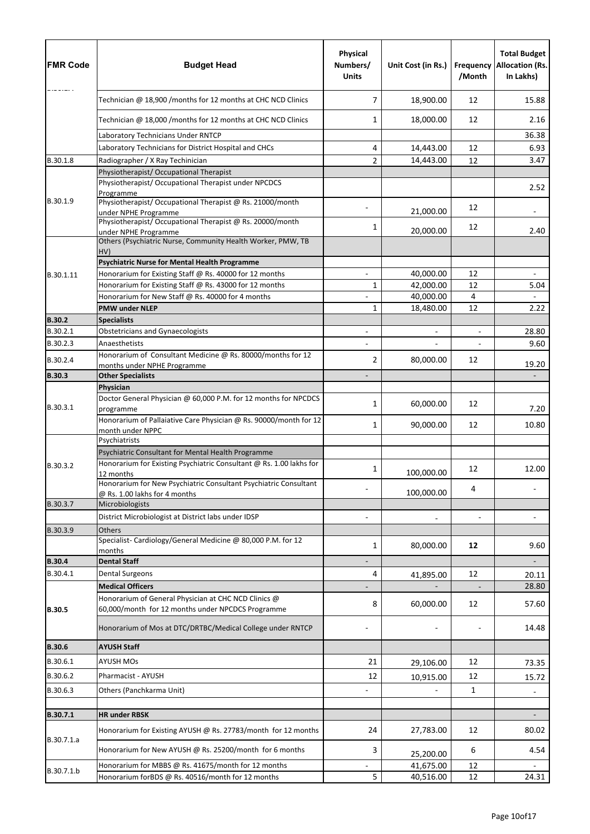| <b>FMR Code</b> | <b>Budget Head</b>                                                                                        | <b>Physical</b><br>Numbers/<br><b>Units</b> | Unit Cost (in Rs.) | <b>Frequency</b><br>/Month | <b>Total Budget</b><br><b>Allocation (Rs.</b><br>In Lakhs) |
|-----------------|-----------------------------------------------------------------------------------------------------------|---------------------------------------------|--------------------|----------------------------|------------------------------------------------------------|
|                 | Technician @ 18,900 /months for 12 months at CHC NCD Clinics                                              | 7                                           | 18,900.00          | 12                         | 15.88                                                      |
|                 | Technician @ 18,000 /months for 12 months at CHC NCD Clinics                                              | 1                                           | 18,000.00          | 12                         | 2.16                                                       |
|                 | Laboratory Technicians Under RNTCP                                                                        |                                             |                    |                            | 36.38                                                      |
|                 | Laboratory Technicians for District Hospital and CHCs                                                     | 4                                           | 14,443.00          | 12                         | 6.93                                                       |
| B.30.1.8        | Radiographer / X Ray Techinician                                                                          | $\overline{2}$                              | 14,443.00          | 12                         | 3.47                                                       |
|                 | Physiotherapist/ Occupational Therapist                                                                   |                                             |                    |                            |                                                            |
|                 | Physiotherapist/ Occupational Therapist under NPCDCS<br>Programme                                         |                                             |                    |                            | 2.52                                                       |
| B.30.1.9        | Physiotherapist/Occupational Therapist @ Rs. 21000/month<br>under NPHE Programme                          |                                             | 21,000.00          | 12                         |                                                            |
|                 | Physiotherapist/Occupational Therapist @ Rs. 20000/month                                                  | 1                                           |                    | 12                         |                                                            |
|                 | under NPHE Programme<br>Others (Psychiatric Nurse, Community Health Worker, PMW, TB<br>HV)                |                                             | 20,000.00          |                            | 2.40                                                       |
|                 | <b>Psychiatric Nurse for Mental Health Programme</b>                                                      |                                             |                    |                            |                                                            |
| B.30.1.11       | Honorarium for Existing Staff @ Rs. 40000 for 12 months                                                   |                                             | 40,000.00          | 12                         |                                                            |
|                 | Honorarium for Existing Staff @ Rs. 43000 for 12 months                                                   | $\mathbf{1}$                                | 42,000.00          | 12                         | 5.04                                                       |
|                 | Honorarium for New Staff @ Rs. 40000 for 4 months                                                         |                                             | 40,000.00          | 4                          |                                                            |
|                 | <b>PMW under NLEP</b>                                                                                     | 1                                           | 18,480.00          | 12                         | 2.22                                                       |
| <b>B.30.2</b>   | <b>Specialists</b>                                                                                        |                                             |                    |                            |                                                            |
| B.30.2.1        | <b>Obstetricians and Gynaecologists</b>                                                                   |                                             |                    | $\overline{\phantom{a}}$   | 28.80                                                      |
| B.30.2.3        | Anaesthetists                                                                                             |                                             |                    |                            | 9.60                                                       |
| B.30.2.4        | Honorarium of Consultant Medicine @ Rs. 80000/months for 12<br>months under NPHE Programme                | 2                                           | 80,000.00          | 12                         | 19.20                                                      |
| <b>B.30.3</b>   | <b>Other Specialists</b>                                                                                  |                                             |                    |                            |                                                            |
|                 | Physician                                                                                                 |                                             |                    |                            |                                                            |
| B.30.3.1        | Doctor General Physician @ 60,000 P.M. for 12 months for NPCDCS<br>programme                              | 1                                           | 60,000.00          | 12                         | 7.20                                                       |
|                 | Honorarium of Pallaiative Care Physician @ Rs. 90000/month for 12<br>month under NPPC                     | 1                                           | 90,000.00          | 12                         | 10.80                                                      |
|                 | Psychiatrists                                                                                             |                                             |                    |                            |                                                            |
|                 | Psychiatric Consultant for Mental Health Programme                                                        |                                             |                    |                            |                                                            |
| B.30.3.2        | Honorarium for Existing Psychiatric Consultant @ Rs. 1.00 lakhs for<br>12 months                          | 1                                           | 100,000.00         | 12                         | 12.00                                                      |
|                 | Honorarium for New Psychiatric Consultant Psychiatric Consultant<br>@ Rs. 1.00 lakhs for 4 months         |                                             | 100,000.00         | 4                          |                                                            |
| B.30.3.7        | Microbiologists                                                                                           |                                             |                    |                            |                                                            |
|                 | District Microbiologist at District labs under IDSP                                                       |                                             |                    |                            |                                                            |
| B.30.3.9        | <b>Others</b>                                                                                             |                                             |                    |                            |                                                            |
|                 | Specialist-Cardiology/General Medicine @ 80,000 P.M. for 12<br>months                                     | $\mathbf{1}$                                | 80,000.00          | 12                         | 9.60                                                       |
| <b>B.30.4</b>   | <b>Dental Staff</b>                                                                                       |                                             |                    |                            |                                                            |
| B.30.4.1        | <b>Dental Surgeons</b>                                                                                    | 4                                           | 41,895.00          | 12                         | 20.11                                                      |
|                 | <b>Medical Officers</b>                                                                                   |                                             |                    |                            | 28.80                                                      |
| <b>B.30.5</b>   | Honorarium of General Physician at CHC NCD Clinics @<br>60,000/month for 12 months under NPCDCS Programme | 8                                           | 60,000.00          | 12                         | 57.60                                                      |
|                 | Honorarium of Mos at DTC/DRTBC/Medical College under RNTCP                                                |                                             |                    |                            | 14.48                                                      |
| <b>B.30.6</b>   | <b>AYUSH Staff</b>                                                                                        |                                             |                    |                            |                                                            |
| B.30.6.1        | <b>AYUSH MOs</b>                                                                                          | 21                                          | 29,106.00          | 12                         | 73.35                                                      |
| B.30.6.2        | Pharmacist - AYUSH                                                                                        | 12                                          | 10,915.00          | 12                         | 15.72                                                      |
| B.30.6.3        | Others (Panchkarma Unit)                                                                                  |                                             |                    | 1                          |                                                            |
|                 |                                                                                                           |                                             |                    |                            |                                                            |
| B.30.7.1        | <b>HR under RBSK</b>                                                                                      |                                             |                    |                            |                                                            |
| B.30.7.1.a      | Honorarium for Existing AYUSH @ Rs. 27783/month for 12 months                                             | 24                                          | 27,783.00          | 12                         | 80.02                                                      |
|                 | Honorarium for New AYUSH @ Rs. 25200/month for 6 months                                                   | 3                                           | 25,200.00          | 6                          | 4.54                                                       |
| B.30.7.1.b      | Honorarium for MBBS @ Rs. 41675/month for 12 months                                                       |                                             | 41,675.00          | 12                         |                                                            |
|                 | Honorarium forBDS @ Rs. 40516/month for 12 months                                                         | 5                                           | 40,516.00          | 12                         | 24.31                                                      |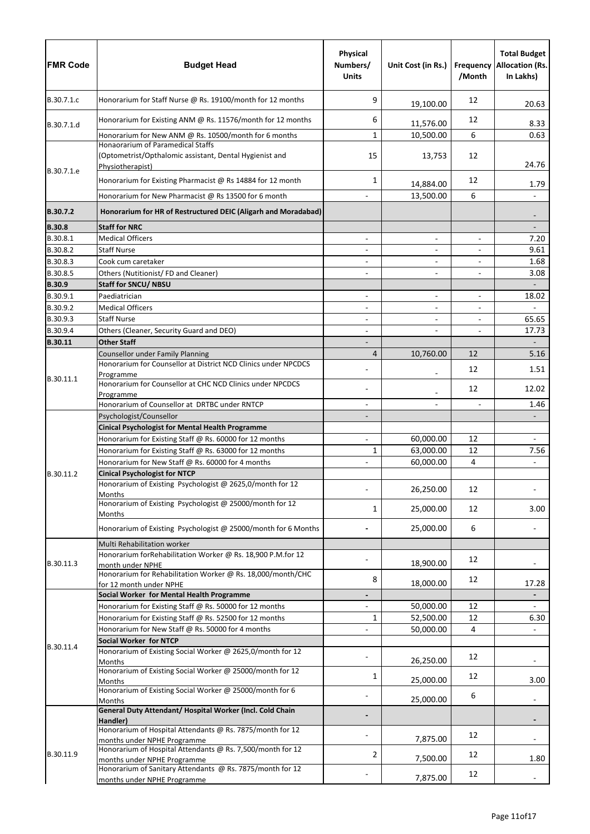| <b>FMR Code</b>      | <b>Budget Head</b>                                                                                               | <b>Physical</b><br>Numbers/<br><b>Units</b> | Unit Cost (in Rs.)       | Frequency<br>/Month      | <b>Total Budget</b><br><b>Allocation (Rs.</b><br>In Lakhs) |
|----------------------|------------------------------------------------------------------------------------------------------------------|---------------------------------------------|--------------------------|--------------------------|------------------------------------------------------------|
| B.30.7.1.c           | Honorarium for Staff Nurse @ Rs. 19100/month for 12 months                                                       | 9                                           | 19,100.00                | 12                       | 20.63                                                      |
| B.30.7.1.d           | Honorarium for Existing ANM @ Rs. 11576/month for 12 months                                                      | 6                                           | 11,576.00                | 12                       | 8.33                                                       |
|                      | Honorarium for New ANM @ Rs. 10500/month for 6 months                                                            | $\mathbf{1}$                                | 10,500.00                | 6                        | 0.63                                                       |
| B.30.7.1.e           | Honaorarium of Paramedical Staffs<br>(Optometrist/Opthalomic assistant, Dental Hygienist and<br>Physiotherapist) | 15                                          | 13,753                   | 12                       | 24.76                                                      |
|                      | Honorarium for Existing Pharmacist @ Rs 14884 for 12 month                                                       | $\mathbf{1}$                                | 14,884.00                | 12                       | 1.79                                                       |
|                      | Honorarium for New Pharmacist @ Rs 13500 for 6 month                                                             |                                             | 13,500.00                | 6                        |                                                            |
| B.30.7.2             | Honorarium for HR of Restructured DEIC (Aligarh and Moradabad)                                                   |                                             |                          |                          |                                                            |
| <b>B.30.8</b>        | <b>Staff for NRC</b>                                                                                             |                                             |                          |                          |                                                            |
| B.30.8.1             | <b>Medical Officers</b>                                                                                          |                                             | $\overline{\phantom{a}}$ | $\overline{\phantom{a}}$ | 7.20                                                       |
| B.30.8.2             | <b>Staff Nurse</b>                                                                                               | $\overline{\phantom{a}}$                    | $\overline{\phantom{0}}$ | $\overline{\phantom{a}}$ | 9.61                                                       |
| B.30.8.3             | Cook cum caretaker                                                                                               |                                             |                          |                          | 1.68                                                       |
| B.30.8.5             | Others (Nutitionist/FD and Cleaner)                                                                              |                                             |                          |                          | 3.08                                                       |
| <b>B.30.9</b>        | <b>Staff for SNCU/ NBSU</b>                                                                                      |                                             |                          |                          | $\overline{\phantom{a}}$                                   |
| B.30.9.1             | Paediatrician                                                                                                    |                                             | $\overline{\phantom{0}}$ | $\overline{\phantom{a}}$ | 18.02                                                      |
| B.30.9.2             | <b>Medical Officers</b>                                                                                          |                                             | $\overline{\phantom{0}}$ |                          |                                                            |
| B.30.9.3<br>B.30.9.4 | <b>Staff Nurse</b><br>Others (Cleaner, Security Guard and DEO)                                                   |                                             |                          |                          | 65.65<br>17.73                                             |
| B.30.11              | <b>Other Staff</b>                                                                                               | $\overline{\phantom{a}}$                    |                          | $\overline{\phantom{a}}$ |                                                            |
|                      | <b>Counsellor under Family Planning</b>                                                                          | $\overline{4}$                              | 10,760.00                | 12                       | 5.16                                                       |
|                      | Honorarium for Counsellor at District NCD Clinics under NPCDCS                                                   |                                             |                          | 12                       | 1.51                                                       |
| B.30.11.1            | Programme<br>Honorarium for Counsellor at CHC NCD Clinics under NPCDCS                                           |                                             |                          | 12                       | 12.02                                                      |
|                      | Programme<br>Honorarium of Counsellor at DRTBC under RNTCP                                                       |                                             |                          |                          | 1.46                                                       |
|                      | Psychologist/Counsellor                                                                                          |                                             |                          |                          |                                                            |
|                      | <b>Cinical Psychologist for Mental Health Programme</b>                                                          |                                             |                          |                          |                                                            |
|                      | Honorarium for Existing Staff @ Rs. 60000 for 12 months                                                          |                                             | 60,000.00                | 12                       |                                                            |
|                      | Honorarium for Existing Staff @ Rs. 63000 for 12 months                                                          | $\mathbf{1}$                                | 63,000.00                | 12                       | 7.56                                                       |
|                      | Honorarium for New Staff @ Rs. 60000 for 4 months                                                                |                                             | 60,000.00                | $\overline{4}$           |                                                            |
| B.30.11.2            | <b>Cinical Psychologist for NTCP</b>                                                                             |                                             |                          |                          |                                                            |
|                      | Honorarium of Existing Psychologist @ 2625,0/month for 12<br>Months                                              |                                             | 26,250.00                | 12                       |                                                            |
|                      | Honorarium of Existing Psychologist @ 25000/month for 12<br>Months                                               | 1                                           | 25,000.00                | 12                       | 3.00                                                       |
|                      | Honorarium of Existing Psychologist @ 25000/month for 6 Months                                                   |                                             | 25,000.00                | 6                        |                                                            |
|                      | Multi Rehabilitation worker                                                                                      |                                             |                          |                          |                                                            |
| B.30.11.3            | Honorarium forRehabilitation Worker @ Rs. 18,900 P.M.for 12<br>month under NPHE                                  |                                             | 18,900.00                | 12                       |                                                            |
|                      | Honorarium for Rehabilitation Worker @ Rs. 18,000/month/CHC<br>for 12 month under NPHE                           | 8                                           | 18,000.00                | 12                       | 17.28                                                      |
|                      | Social Worker for Mental Health Programme                                                                        |                                             |                          |                          |                                                            |
|                      | Honorarium for Existing Staff @ Rs. 50000 for 12 months                                                          |                                             | 50,000.00                | 12                       |                                                            |
|                      | Honorarium for Existing Staff @ Rs. 52500 for 12 months                                                          | $\mathbf{1}$                                | 52,500.00                | 12                       | 6.30                                                       |
|                      | Honorarium for New Staff @ Rs. 50000 for 4 months                                                                |                                             | 50,000.00                | 4                        |                                                            |
| B.30.11.4            | <b>Social Worker for NTCP</b><br>Honorarium of Existing Social Worker @ 2625,0/month for 12                      |                                             |                          | 12                       |                                                            |
|                      | Months<br>Honorarium of Existing Social Worker @ 25000/month for 12                                              | 1                                           | 26,250.00                | 12                       |                                                            |
|                      | Months<br>Honorarium of Existing Social Worker @ 25000/month for 6                                               |                                             | 25,000.00                | 6                        | 3.00                                                       |
|                      | Months<br>General Duty Attendant/ Hospital Worker (Incl. Cold Chain                                              |                                             | 25,000.00                |                          |                                                            |
|                      | Handler)                                                                                                         |                                             |                          |                          |                                                            |
|                      | Honorarium of Hospital Attendants @ Rs. 7875/month for 12<br>months under NPHE Programme                         |                                             | 7,875.00                 | 12                       |                                                            |
| B.30.11.9            | Honorarium of Hospital Attendants @ Rs. 7,500/month for 12<br>months under NPHE Programme                        | 2                                           | 7,500.00                 | 12                       | 1.80                                                       |
|                      | Honorarium of Sanitary Attendants @ Rs. 7875/month for 12                                                        |                                             |                          | 12                       |                                                            |
|                      | months under NPHE Programme                                                                                      |                                             | 7,875.00                 |                          |                                                            |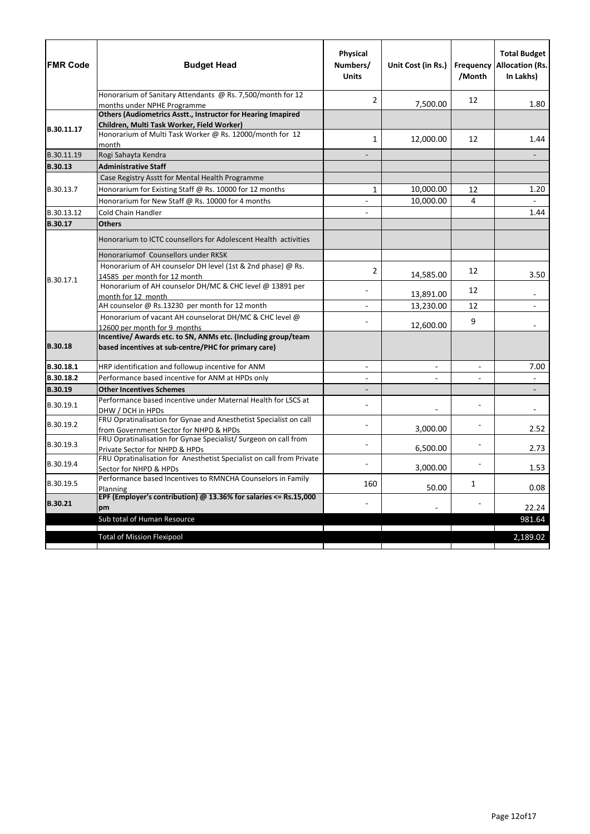| <b>FMR Code</b> | <b>Budget Head</b>                                                                                                    | Physical<br>Numbers/<br><b>Units</b> | Unit Cost (in Rs.) | <b>Frequency</b><br>/Month | <b>Total Budget</b><br><b>Allocation (Rs.</b><br>In Lakhs) |
|-----------------|-----------------------------------------------------------------------------------------------------------------------|--------------------------------------|--------------------|----------------------------|------------------------------------------------------------|
|                 | Honorarium of Sanitary Attendants @ Rs. 7,500/month for 12                                                            | $\overline{2}$                       | 7,500.00           | 12                         | 1.80                                                       |
|                 | months under NPHE Programme<br><b>Others (Audiometrics Asstt., Instructor for Hearing Imapired</b>                    |                                      |                    |                            |                                                            |
|                 | Children, Multi Task Worker, Field Worker)                                                                            |                                      |                    |                            |                                                            |
| B.30.11.17      | Honorarium of Multi Task Worker @ Rs. 12000/month for 12                                                              |                                      |                    |                            |                                                            |
|                 | month                                                                                                                 | $\mathbf{1}$                         | 12,000.00          | 12                         | 1.44                                                       |
| B.30.11.19      | Rogi Sahayta Kendra                                                                                                   |                                      |                    |                            |                                                            |
| <b>B.30.13</b>  | <b>Administrative Staff</b>                                                                                           |                                      |                    |                            |                                                            |
|                 | Case Registry Asstt for Mental Health Programme                                                                       |                                      |                    |                            |                                                            |
| B.30.13.7       | Honorarium for Existing Staff @ Rs. 10000 for 12 months                                                               | $\mathbf{1}$                         | 10,000.00          | 12                         | 1.20                                                       |
|                 | Honorarium for New Staff @ Rs. 10000 for 4 months                                                                     |                                      | 10,000.00          | 4                          |                                                            |
| B.30.13.12      | Cold Chain Handler                                                                                                    |                                      |                    |                            | 1.44                                                       |
| <b>B.30.17</b>  | <b>Others</b>                                                                                                         |                                      |                    |                            |                                                            |
|                 | Honorarium to ICTC counsellors for Adolescent Health activities                                                       |                                      |                    |                            |                                                            |
| B.30.17.1       | Honorariumof Counsellors under RKSK                                                                                   |                                      |                    |                            |                                                            |
|                 | Honorarium of AH counselor DH level (1st & 2nd phase) @ Rs.                                                           | $\overline{2}$                       |                    | 12                         |                                                            |
|                 | 14585 per month for 12 month                                                                                          |                                      | 14,585.00          |                            | 3.50                                                       |
|                 | Honorarium of AH counselor DH/MC & CHC level @ 13891 per                                                              |                                      | 13,891.00          | 12                         |                                                            |
|                 | month for 12 month<br>AH counselor @ Rs.13230 per month for 12 month                                                  |                                      | 13,230.00          | 12                         |                                                            |
|                 | Honorarium of vacant AH counselorat DH/MC & CHC level @                                                               |                                      |                    |                            |                                                            |
|                 | 12600 per month for 9 months                                                                                          |                                      | 12,600.00          | 9                          |                                                            |
| <b>B.30.18</b>  | Incentive/ Awards etc. to SN, ANMs etc. (Including group/team<br>based incentives at sub-centre/PHC for primary care) |                                      |                    |                            |                                                            |
| B.30.18.1       | HRP identification and followup incentive for ANM                                                                     |                                      |                    | $\overline{\phantom{a}}$   | 7.00                                                       |
| B.30.18.2       | Performance based incentive for ANM at HPDs only                                                                      |                                      |                    |                            | $\blacksquare$                                             |
| <b>B.30.19</b>  | <b>Other Incentives Schemes</b>                                                                                       |                                      |                    |                            |                                                            |
| B.30.19.1       | Performance based incentive under Maternal Health for LSCS at<br>DHW / DCH in HPDs                                    |                                      |                    |                            |                                                            |
| B.30.19.2       | FRU Opratinalisation for Gynae and Anesthetist Specialist on call<br>from Government Sector for NHPD & HPDs           |                                      | 3,000.00           |                            | 2.52                                                       |
| B.30.19.3       | FRU Opratinalisation for Gynae Specialist/ Surgeon on call from<br>Private Sector for NHPD & HPDs                     |                                      | 6,500.00           |                            | 2.73                                                       |
| B.30.19.4       | FRU Opratinalisation for Anesthetist Specialist on call from Private<br>Sector for NHPD & HPDs                        |                                      | 3,000.00           |                            | 1.53                                                       |
| B.30.19.5       | Performance based Incentives to RMNCHA Counselors in Family<br>Planning                                               | 160                                  | 50.00              | 1                          | 0.08                                                       |
| <b>B.30.21</b>  | EPF (Employer's contribution) @ 13.36% for salaries <= Rs.15,000<br>pm                                                |                                      |                    |                            | 22.24                                                      |
|                 | Sub total of Human Resource                                                                                           |                                      |                    |                            | 981.64                                                     |
|                 | <b>Total of Mission Flexipool</b>                                                                                     |                                      |                    |                            | 2,189.02                                                   |
|                 |                                                                                                                       |                                      |                    |                            |                                                            |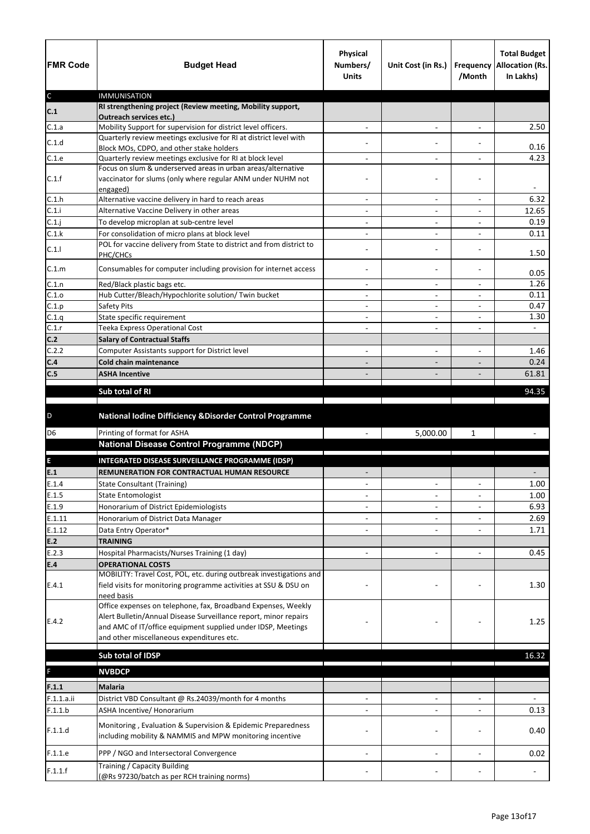| <b>FMR Code</b> | <b>Budget Head</b>                                                                                                                              | <b>Physical</b><br>Numbers/<br><b>Units</b> | Unit Cost (in Rs.)                                       | <b>Frequency</b><br>/Month | <b>Total Budget</b><br><b>Allocation (Rs.</b><br>In Lakhs) |
|-----------------|-------------------------------------------------------------------------------------------------------------------------------------------------|---------------------------------------------|----------------------------------------------------------|----------------------------|------------------------------------------------------------|
| $\mathsf C$     | <b>IMMUNISATION</b><br>RI strengthening project (Review meeting, Mobility support,                                                              |                                             |                                                          |                            |                                                            |
| C.1             | <b>Outreach services etc.)</b>                                                                                                                  |                                             |                                                          |                            |                                                            |
| C.1.a           | Mobility Support for supervision for district level officers.                                                                                   |                                             | $\overline{\phantom{a}}$                                 | $\overline{\phantom{a}}$   | 2.50                                                       |
| C.1.d           | Quarterly review meetings exclusive for RI at district level with                                                                               |                                             |                                                          |                            |                                                            |
| C.1.e           | Block MOs, CDPO, and other stake holders<br>Quarterly review meetings exclusive for RI at block level                                           |                                             | $\blacksquare$                                           |                            | 0.16<br>4.23                                               |
|                 | Focus on slum & underserved areas in urban areas/alternative                                                                                    |                                             |                                                          |                            |                                                            |
| C.1.f           | vaccinator for slums (only where regular ANM under NUHM not<br>engaged)                                                                         |                                             |                                                          |                            |                                                            |
| C.1.h           | Alternative vaccine delivery in hard to reach areas                                                                                             |                                             |                                                          |                            | 6.32                                                       |
| C.1.i           | Alternative Vaccine Delivery in other areas                                                                                                     | $\overline{\phantom{a}}$                    | $\overline{\phantom{a}}$                                 | $\overline{\phantom{a}}$   | 12.65                                                      |
| C.1.j           | To develop microplan at sub-centre level                                                                                                        |                                             |                                                          |                            | 0.19                                                       |
| C.1.k           | For consolidation of micro plans at block level                                                                                                 |                                             | $\overline{\phantom{0}}$                                 |                            | 0.11                                                       |
| C.1.1           | POL for vaccine delivery from State to district and from district to<br>PHC/CHCs                                                                |                                             |                                                          |                            | 1.50                                                       |
| C.1.m           | Consumables for computer including provision for internet access                                                                                |                                             |                                                          |                            | 0.05                                                       |
| C.1.n           | Red/Black plastic bags etc.                                                                                                                     | $\overline{\phantom{a}}$                    | $\overline{\phantom{a}}$                                 | $\overline{\phantom{a}}$   | 1.26                                                       |
| C.1.o           | Hub Cutter/Bleach/Hypochlorite solution/ Twin bucket                                                                                            |                                             |                                                          |                            | 0.11                                                       |
| C.1.p<br>C.1.q  | <b>Safety Pits</b>                                                                                                                              |                                             |                                                          | $\overline{a}$             | 0.47<br>1.30                                               |
| C.1.r           | State specific requirement<br>Teeka Express Operational Cost                                                                                    | $\overline{\phantom{a}}$                    | $\qquad \qquad \blacksquare$<br>$\overline{\phantom{0}}$ | $\overline{\phantom{a}}$   | $\sim$                                                     |
| C.2             | <b>Salary of Contractual Staffs</b>                                                                                                             |                                             |                                                          |                            |                                                            |
| C.2.2           | Computer Assistants support for District level                                                                                                  |                                             | $\overline{\phantom{0}}$                                 | $\overline{\phantom{0}}$   | 1.46                                                       |
| C.4             | <b>Cold chain maintenance</b>                                                                                                                   |                                             |                                                          |                            | 0.24                                                       |
| C.5             | <b>ASHA Incentive</b>                                                                                                                           |                                             |                                                          |                            | 61.81                                                      |
|                 |                                                                                                                                                 |                                             |                                                          |                            |                                                            |
|                 | Sub total of RI                                                                                                                                 |                                             |                                                          |                            | 94.35                                                      |
| D               | National Iodine Difficiency & Disorder Control Programme                                                                                        |                                             |                                                          |                            |                                                            |
| D <sub>6</sub>  | Printing of format for ASHA                                                                                                                     |                                             | 5,000.00                                                 | $\mathbf{1}$               |                                                            |
|                 | <b>National Disease Control Programme (NDCP)</b>                                                                                                |                                             |                                                          |                            |                                                            |
| E               | INTEGRATED DISEASE SURVEILLANCE PROGRAMME (IDSP)                                                                                                |                                             |                                                          |                            |                                                            |
| E.1             | REMUNERATION FOR CONTRACTUAL HUMAN RESOURCE                                                                                                     |                                             |                                                          |                            |                                                            |
| E.1.4           | <b>State Consultant (Training)</b>                                                                                                              |                                             | $\blacksquare$                                           | $\overline{\phantom{a}}$   | 1.00                                                       |
| E.1.5           | <b>State Entomologist</b>                                                                                                                       |                                             |                                                          |                            | 1.00                                                       |
| E.1.9           | Honorarium of District Epidemiologists                                                                                                          |                                             |                                                          |                            | 6.93                                                       |
| E.1.11          | Honorarium of District Data Manager                                                                                                             |                                             |                                                          |                            | 2.69                                                       |
| E.1.12          | Data Entry Operator*                                                                                                                            |                                             |                                                          |                            | 1.71                                                       |
| E.2             | <b>TRAINING</b>                                                                                                                                 |                                             |                                                          |                            |                                                            |
| E.2.3           | Hospital Pharmacists/Nurses Training (1 day)                                                                                                    |                                             | $\overline{\phantom{0}}$                                 |                            | 0.45                                                       |
| E.4             | <b>OPERATIONAL COSTS</b>                                                                                                                        |                                             |                                                          |                            |                                                            |
| E.4.1           | MOBILITY: Travel Cost, POL, etc. during outbreak investigations and<br>field visits for monitoring programme activities at SSU & DSU on         |                                             |                                                          |                            | 1.30                                                       |
|                 | need basis<br>Office expenses on telephone, fax, Broadband Expenses, Weekly<br>Alert Bulletin/Annual Disease Surveillance report, minor repairs |                                             |                                                          |                            |                                                            |
| E.4.2           | and AMC of IT/office equipment supplied under IDSP, Meetings                                                                                    |                                             |                                                          |                            | 1.25                                                       |
|                 | and other miscellaneous expenditures etc.                                                                                                       |                                             |                                                          |                            |                                                            |
|                 | Sub total of IDSP                                                                                                                               |                                             |                                                          |                            | 16.32                                                      |
|                 |                                                                                                                                                 |                                             |                                                          |                            |                                                            |
| F               | <b>NVBDCP</b>                                                                                                                                   |                                             |                                                          |                            |                                                            |
| F.1.1           | <b>Malaria</b>                                                                                                                                  |                                             |                                                          |                            |                                                            |
| F.1.1.a.ii      | District VBD Consultant @ Rs.24039/month for 4 months                                                                                           |                                             |                                                          |                            |                                                            |
| F.1.1.b         | ASHA Incentive/ Honorarium                                                                                                                      |                                             |                                                          |                            | 0.13                                                       |
|                 | Monitoring, Evaluation & Supervision & Epidemic Preparedness                                                                                    |                                             |                                                          |                            |                                                            |
| F.1.1.d         | including mobility & NAMMIS and MPW monitoring incentive                                                                                        |                                             |                                                          |                            | 0.40                                                       |
| F.1.1.e         | PPP / NGO and Intersectoral Convergence                                                                                                         |                                             |                                                          |                            | 0.02                                                       |
|                 | Training / Capacity Building                                                                                                                    |                                             |                                                          |                            |                                                            |
| F.1.1.f         | (@Rs 97230/batch as per RCH training norms)                                                                                                     |                                             |                                                          |                            |                                                            |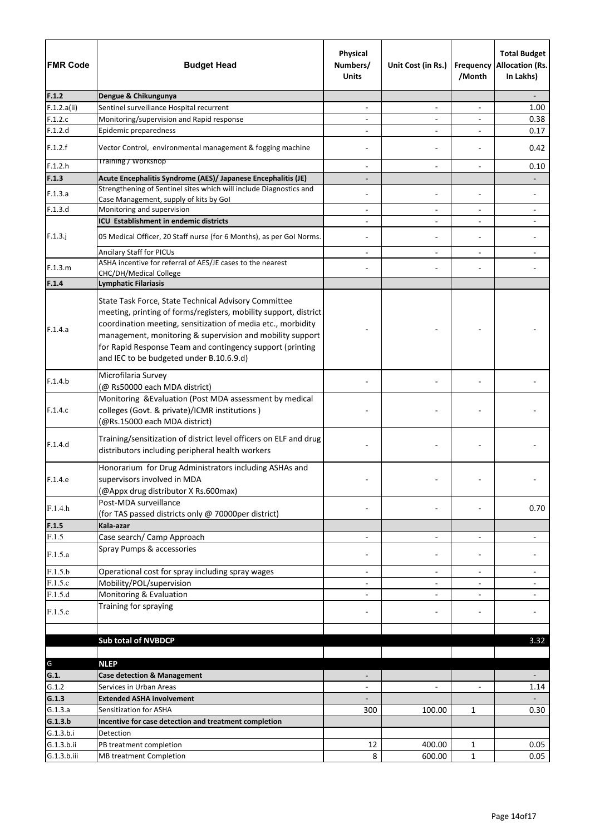| <b>FMR Code</b> | <b>Budget Head</b>                                                                                                                                                                                                                                                                                                                                             | Physical<br>Numbers/<br><b>Units</b> | Unit Cost (in Rs.)           | Frequency<br>/Month          | <b>Total Budget</b><br><b>Allocation (Rs.</b><br>In Lakhs) |
|-----------------|----------------------------------------------------------------------------------------------------------------------------------------------------------------------------------------------------------------------------------------------------------------------------------------------------------------------------------------------------------------|--------------------------------------|------------------------------|------------------------------|------------------------------------------------------------|
| F.1.2           | Dengue & Chikungunya                                                                                                                                                                                                                                                                                                                                           |                                      |                              |                              |                                                            |
| F.1.2.a(ii)     | Sentinel surveillance Hospital recurrent                                                                                                                                                                                                                                                                                                                       | $\overline{\phantom{a}}$             | $\qquad \qquad \blacksquare$ | $\qquad \qquad \blacksquare$ | 1.00                                                       |
| F.1.2.c         | Monitoring/supervision and Rapid response                                                                                                                                                                                                                                                                                                                      |                                      |                              |                              | 0.38                                                       |
| F.1.2.d         | Epidemic preparedness                                                                                                                                                                                                                                                                                                                                          |                                      | $\overline{\phantom{a}}$     |                              | 0.17                                                       |
| F.1.2.f         | Vector Control, environmental management & fogging machine                                                                                                                                                                                                                                                                                                     |                                      |                              |                              | 0.42                                                       |
| F.1.2.h         | <b>Training / Workshop</b>                                                                                                                                                                                                                                                                                                                                     | $\overline{\phantom{a}}$             | $\overline{\phantom{a}}$     | $\overline{\phantom{a}}$     | 0.10                                                       |
| F.1.3           | Acute Encephalitis Syndrome (AES)/ Japanese Encephalitis (JE)                                                                                                                                                                                                                                                                                                  |                                      |                              |                              |                                                            |
| F.1.3.a         | Strengthening of Sentinel sites which will include Diagnostics and<br>Case Management, supply of kits by Gol                                                                                                                                                                                                                                                   |                                      |                              |                              |                                                            |
| F.1.3.d         | Monitoring and supervision                                                                                                                                                                                                                                                                                                                                     | $\overline{\phantom{a}}$             | $\qquad \qquad \blacksquare$ | $\overline{\phantom{a}}$     |                                                            |
|                 | ICU Establishment in endemic districts                                                                                                                                                                                                                                                                                                                         | $\overline{a}$                       | $\blacksquare$               | $\overline{a}$               |                                                            |
| $F.1.3.$ j      | 05 Medical Officer, 20 Staff nurse (for 6 Months), as per Gol Norms.                                                                                                                                                                                                                                                                                           |                                      | $\overline{\phantom{a}}$     | $\overline{a}$               |                                                            |
|                 | <b>Ancilary Staff for PICUs</b>                                                                                                                                                                                                                                                                                                                                |                                      |                              |                              |                                                            |
| F.1.3.m         | ASHA incentive for referral of AES/JE cases to the nearest                                                                                                                                                                                                                                                                                                     |                                      |                              |                              |                                                            |
|                 | CHC/DH/Medical College                                                                                                                                                                                                                                                                                                                                         |                                      |                              |                              |                                                            |
| F.1.4           | <b>Lymphatic Filariasis</b>                                                                                                                                                                                                                                                                                                                                    |                                      |                              |                              |                                                            |
| F.1.4.a         | State Task Force, State Technical Advisory Committee<br>meeting, printing of forms/registers, mobility support, district<br>coordination meeting, sensitization of media etc., morbidity<br>management, monitoring & supervision and mobility support<br>for Rapid Response Team and contingency support (printing<br>and IEC to be budgeted under B.10.6.9.d) |                                      |                              |                              |                                                            |
| F.1.4.b         | Microfilaria Survey<br>(@ Rs50000 each MDA district)                                                                                                                                                                                                                                                                                                           |                                      |                              |                              |                                                            |
| F.1.4.c         | Monitoring & Evaluation (Post MDA assessment by medical<br>colleges (Govt. & private)/ICMR institutions)<br>(@Rs.15000 each MDA district)                                                                                                                                                                                                                      |                                      |                              |                              |                                                            |
| F.1.4.d         | Training/sensitization of district level officers on ELF and drug<br>distributors including peripheral health workers                                                                                                                                                                                                                                          |                                      |                              |                              |                                                            |
| F.1.4.e         | Honorarium for Drug Administrators including ASHAs and<br>supervisors involved in MDA<br>(@Appx drug distributor X Rs.600max)                                                                                                                                                                                                                                  |                                      |                              |                              |                                                            |
| F.1.4.h         | Post-MDA surveillance<br>(for TAS passed districts only @ 70000per district)                                                                                                                                                                                                                                                                                   |                                      |                              |                              | 0.70                                                       |
| F.1.5           | Kala-azar                                                                                                                                                                                                                                                                                                                                                      |                                      |                              |                              |                                                            |
| F.1.5           | Case search/ Camp Approach                                                                                                                                                                                                                                                                                                                                     | $\overline{\phantom{a}}$             | $\overline{\phantom{a}}$     | $\overline{a}$               |                                                            |
| F.1.5.a         | Spray Pumps & accessories                                                                                                                                                                                                                                                                                                                                      |                                      |                              |                              |                                                            |
| F.1.5.b         | Operational cost for spray including spray wages                                                                                                                                                                                                                                                                                                               | $\overline{\phantom{a}}$             | $\overline{\phantom{a}}$     | $\overline{\phantom{a}}$     |                                                            |
| F.1.5.c         | Mobility/POL/supervision                                                                                                                                                                                                                                                                                                                                       |                                      |                              |                              |                                                            |
| F.1.5.d         | Monitoring & Evaluation                                                                                                                                                                                                                                                                                                                                        |                                      | $\overline{\phantom{a}}$     |                              |                                                            |
| F.1.5.e         | Training for spraying                                                                                                                                                                                                                                                                                                                                          |                                      |                              |                              |                                                            |
|                 |                                                                                                                                                                                                                                                                                                                                                                |                                      |                              |                              | 3.32                                                       |
|                 | <b>Sub total of NVBDCP</b>                                                                                                                                                                                                                                                                                                                                     |                                      |                              |                              |                                                            |
| G               | <b>NLEP</b>                                                                                                                                                                                                                                                                                                                                                    |                                      |                              |                              |                                                            |
| G.1.            | <b>Case detection &amp; Management</b>                                                                                                                                                                                                                                                                                                                         |                                      |                              |                              |                                                            |
| G.1.2           | Services in Urban Areas                                                                                                                                                                                                                                                                                                                                        |                                      |                              |                              | 1.14                                                       |
| G.1.3           | <b>Extended ASHA involvement</b>                                                                                                                                                                                                                                                                                                                               |                                      |                              |                              |                                                            |
| G.1.3.a         | Sensitization for ASHA                                                                                                                                                                                                                                                                                                                                         | 300                                  | 100.00                       | $\mathbf{1}$                 | 0.30                                                       |
| G.1.3.b         | Incentive for case detection and treatment completion                                                                                                                                                                                                                                                                                                          |                                      |                              |                              |                                                            |
| G.1.3.b.i       | Detection                                                                                                                                                                                                                                                                                                                                                      |                                      |                              |                              |                                                            |
| G.1.3.b.ii      | PB treatment completion                                                                                                                                                                                                                                                                                                                                        | 12                                   | 400.00                       | $\mathbf{1}$                 | 0.05                                                       |
| G.1.3.b.iii     | <b>MB treatment Completion</b>                                                                                                                                                                                                                                                                                                                                 | 8                                    | 600.00                       | $\mathbf{1}$                 | 0.05                                                       |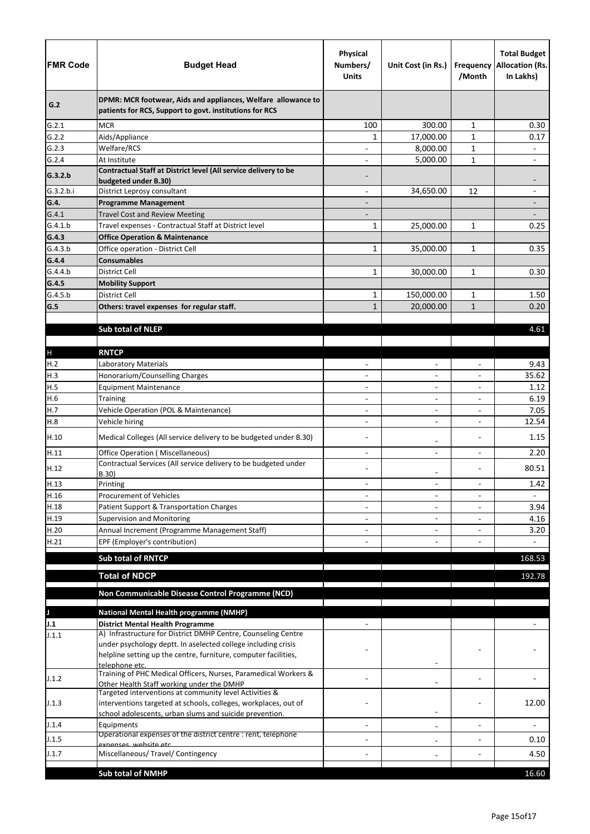| <b>FMR Code</b>      | <b>Budget Head</b>                                                                                                        | <b>Physical</b><br>Numbers/<br><b>Units</b> | Unit Cost (in Rs.)                         | /Month                   | <b>Total Budget</b><br><b>Frequency Allocation (Rs.</b><br>In Lakhs) |
|----------------------|---------------------------------------------------------------------------------------------------------------------------|---------------------------------------------|--------------------------------------------|--------------------------|----------------------------------------------------------------------|
| G.2                  | DPMR: MCR footwear, Aids and appliances, Welfare allowance to<br>patients for RCS, Support to govt. institutions for RCS  |                                             |                                            |                          |                                                                      |
| G.2.1                | <b>MCR</b>                                                                                                                | 100                                         | 300.00                                     | $\mathbf{1}$             | 0.30                                                                 |
| G.2.2                | Aids/Appliance                                                                                                            | 1                                           | 17,000.00                                  | $\mathbf{1}$             | 0.17                                                                 |
| G.2.3                | Welfare/RCS                                                                                                               |                                             | 8,000.00                                   | $\mathbf{1}$             | $\qquad \qquad -$                                                    |
| G.2.4                | At Institute                                                                                                              |                                             | 5,000.00                                   | $\mathbf{1}$             |                                                                      |
| G.3.2.b<br>G.3.2.b.i | Contractual Staff at District level (All service delivery to be<br>budgeted under B.30)<br>District Leprosy consultant    | $\overline{\phantom{a}}$                    | 34,650.00                                  | 12                       | $\qquad \qquad \blacksquare$                                         |
| G.4.                 | <b>Programme Management</b>                                                                                               |                                             |                                            |                          |                                                                      |
| G.4.1                | <b>Travel Cost and Review Meeting</b>                                                                                     |                                             |                                            |                          |                                                                      |
| G.4.1.b              | Travel expenses - Contractual Staff at District level                                                                     | $\mathbf{1}$                                | 25,000.00                                  | $\mathbf{1}$             | 0.25                                                                 |
| G.4.3                | <b>Office Operation &amp; Maintenance</b>                                                                                 |                                             |                                            |                          |                                                                      |
| G.4.3.b              | Office operation - District Cell                                                                                          | $\mathbf{1}$                                | 35,000.00                                  | $\mathbf{1}$             | 0.35                                                                 |
| G.4.4                | <b>Consumables</b>                                                                                                        |                                             |                                            |                          |                                                                      |
| G.4.4.b              | <b>District Cell</b>                                                                                                      | $\mathbf{1}$                                | 30,000.00                                  | $\mathbf{1}$             | 0.30                                                                 |
| G.4.5                | <b>Mobility Support</b>                                                                                                   |                                             |                                            |                          |                                                                      |
| G.4.5.b              | District Cell                                                                                                             | $\mathbf{1}$                                | 150,000.00                                 | $\mathbf{1}$             | 1.50                                                                 |
| G.5                  | Others: travel expenses for regular staff.                                                                                | $\mathbf{1}$                                | 20,000.00                                  | $\mathbf{1}$             | 0.20                                                                 |
|                      |                                                                                                                           |                                             |                                            |                          |                                                                      |
|                      | <b>Sub total of NLEP</b>                                                                                                  |                                             |                                            |                          | 4.61                                                                 |
|                      |                                                                                                                           |                                             |                                            |                          |                                                                      |
| $\mathsf{H}%$        | <b>RNTCP</b>                                                                                                              |                                             |                                            |                          |                                                                      |
| H.2                  | Laboratory Materials                                                                                                      |                                             | $\overline{\phantom{0}}$                   |                          | 9.43                                                                 |
| H.3                  | Honorarium/Counselling Charges                                                                                            |                                             | $\overline{\phantom{0}}$                   | $\overline{\phantom{a}}$ | 35.62                                                                |
| H.5                  | <b>Equipment Maintenance</b>                                                                                              |                                             | $\qquad \qquad -$                          |                          | 1.12                                                                 |
| H.6<br>H.7           | <b>Training</b>                                                                                                           | $\overline{\phantom{a}}$                    | $\overline{\phantom{0}}$                   |                          | 6.19                                                                 |
| H.8                  | Vehicle Operation (POL & Maintenance)<br>Vehicle hiring                                                                   | -                                           | $\overline{a}$                             |                          | 7.05<br>12.54                                                        |
| H.10                 | Medical Colleges (All service delivery to be budgeted under B.30)                                                         |                                             |                                            |                          | 1.15                                                                 |
| H.11                 | <b>Office Operation (Miscellaneous)</b>                                                                                   |                                             | $\overline{a}$<br>$\overline{\phantom{0}}$ |                          | 2.20                                                                 |
| H.12                 | Contractual Services (All service delivery to be budgeted under<br>B.30)                                                  |                                             | -                                          |                          | 80.51                                                                |
| H.13                 | Printing                                                                                                                  | $\overline{\phantom{0}}$                    | $\overline{\phantom{0}}$                   | $\overline{a}$           | 1.42                                                                 |
| H.16                 | <b>Procurement of Vehicles</b>                                                                                            |                                             | $\overline{\phantom{0}}$                   |                          |                                                                      |
| H.18                 | Patient Support & Transportation Charges                                                                                  |                                             | $\qquad \qquad -$                          |                          | 3.94                                                                 |
| H.19                 | <b>Supervision and Monitoring</b>                                                                                         |                                             | $\overline{\phantom{0}}$                   |                          | 4.16                                                                 |
| H.20                 | Annual Increment (Programme Management Staff)                                                                             |                                             |                                            |                          | 3.20                                                                 |
| H.21                 | EPF (Employer's contribution)                                                                                             |                                             |                                            |                          | $\overline{\phantom{0}}$                                             |
|                      | <b>Sub total of RNTCP</b>                                                                                                 |                                             |                                            |                          | 168.53                                                               |
|                      |                                                                                                                           |                                             |                                            |                          |                                                                      |
|                      | <b>Total of NDCP</b>                                                                                                      |                                             |                                            |                          | 192.78                                                               |
|                      | Non Communicable Disease Control Programme (NCD)                                                                          |                                             |                                            |                          |                                                                      |
|                      |                                                                                                                           |                                             |                                            |                          |                                                                      |
|                      | <b>National Mental Health programme (NMHP)</b>                                                                            |                                             |                                            |                          |                                                                      |
| J.1                  | <b>District Mental Health Programme</b><br>A) Infrastructure for District DMHP Centre, Counseling Centre                  |                                             |                                            |                          |                                                                      |
| J.1.1                | under psychology deptt. In aselected college including crisis                                                             |                                             |                                            |                          |                                                                      |
|                      | helpline setting up the centre, furniture, computer facilities,<br>telephone etc.                                         |                                             |                                            |                          |                                                                      |
| J.1.2                | Training of PHC Medical Officers, Nurses, Paramedical Workers &<br>Other Health Staff working under the DMHP              |                                             |                                            |                          |                                                                      |
| J.1.3                | Targeted interventions at community level Activities &<br>interventions targeted at schools, colleges, workplaces, out of |                                             |                                            |                          | 12.00                                                                |
|                      | school adolescents, urban slums and suicide prevention.                                                                   |                                             | $\qquad \qquad \blacksquare$               |                          |                                                                      |
| J.1.4                | Equipments                                                                                                                |                                             | $\qquad \qquad -$                          |                          |                                                                      |
| J.1.5                | Operational expenses of the district centre : rent, telephone<br>exnenses, website etc                                    |                                             | $\qquad \qquad -$                          |                          | 0.10                                                                 |
| J.1.7                | Miscellaneous/ Travel/ Contingency                                                                                        |                                             |                                            |                          | 4.50                                                                 |
|                      |                                                                                                                           |                                             |                                            |                          |                                                                      |
|                      | <b>Sub total of NMHP</b>                                                                                                  |                                             |                                            |                          | 16.60                                                                |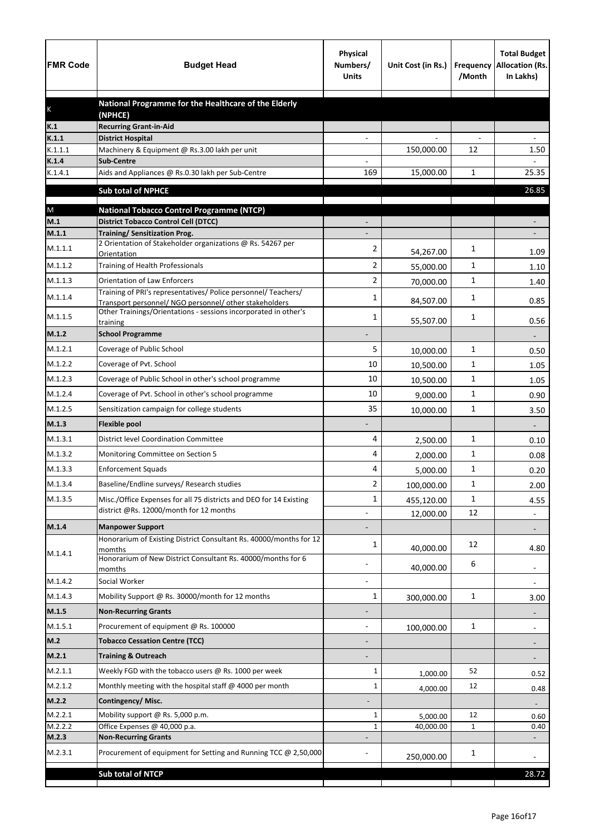| <b>FMR Code</b>  | <b>Budget Head</b>                                                                                            | <b>Physical</b><br>Numbers/<br><b>Units</b> | Unit Cost (in Rs.) | Frequency<br>/Month | <b>Total Budget</b><br><b>Allocation (Rs.</b><br>In Lakhs) |
|------------------|---------------------------------------------------------------------------------------------------------------|---------------------------------------------|--------------------|---------------------|------------------------------------------------------------|
|                  | National Programme for the Healthcare of the Elderly                                                          |                                             |                    |                     |                                                            |
| K                | (NPHCE)                                                                                                       |                                             |                    |                     |                                                            |
| K.1              | <b>Recurring Grant-in-Aid</b>                                                                                 |                                             |                    |                     |                                                            |
| K.1.1<br>K.1.1.1 | <b>District Hospital</b><br>Machinery & Equipment @ Rs.3.00 lakh per unit                                     |                                             | 150,000.00         | 12                  | 1.50                                                       |
| K.1.4            | <b>Sub-Centre</b>                                                                                             |                                             |                    |                     |                                                            |
| K.1.4.1          | Aids and Appliances @ Rs.0.30 lakh per Sub-Centre                                                             | 169                                         | 15,000.00          | 1                   | 25.35                                                      |
|                  | <b>Sub total of NPHCE</b>                                                                                     |                                             |                    |                     | 26.85                                                      |
|                  |                                                                                                               |                                             |                    |                     |                                                            |
| ${\sf M}$<br>M.1 | <b>National Tobacco Control Programme (NTCP)</b><br><b>District Tobacco Control Cell (DTCC)</b>               |                                             |                    |                     |                                                            |
| M.1.1            | <b>Training/ Sensitization Prog.</b>                                                                          |                                             |                    |                     |                                                            |
| M.1.1.1          | 2 Orientation of Stakeholder organizations @ Rs. 54267 per                                                    | 2                                           |                    | 1                   |                                                            |
| M.1.1.2          | Orientation<br>Training of Health Professionals                                                               | $\overline{2}$                              | 54,267.00          | 1                   | 1.09                                                       |
| M.1.1.3          |                                                                                                               |                                             | 55,000.00          |                     | 1.10                                                       |
|                  | <b>Orientation of Law Enforcers</b><br>Training of PRI's representatives/ Police personnel/ Teachers/         | 2                                           | 70,000.00          | 1                   | 1.40                                                       |
| M.1.1.4          | Transport personnel/ NGO personnel/ other stakeholders                                                        | 1                                           | 84,507.00          | 1                   | 0.85                                                       |
| M.1.1.5          | Other Trainings/Orientations - sessions incorporated in other's<br>training                                   | 1                                           | 55,507.00          | 1                   | 0.56                                                       |
| M.1.2            | <b>School Programme</b>                                                                                       |                                             |                    |                     |                                                            |
| M.1.2.1          | Coverage of Public School                                                                                     | 5                                           | 10,000.00          | 1                   | 0.50                                                       |
| M.1.2.2          | Coverage of Pvt. School                                                                                       | 10                                          | 10,500.00          | 1                   | 1.05                                                       |
| M.1.2.3          | Coverage of Public School in other's school programme                                                         | 10                                          | 10,500.00          | 1                   | 1.05                                                       |
| M.1.2.4          | Coverage of Pvt. School in other's school programme                                                           | 10                                          | 9,000.00           | 1                   | 0.90                                                       |
| M.1.2.5          | Sensitization campaign for college students                                                                   | 35                                          | 10,000.00          | $\mathbf{1}$        | 3.50                                                       |
| M.1.3            | <b>Flexible pool</b>                                                                                          |                                             |                    |                     |                                                            |
| M.1.3.1          | <b>District level Coordination Committee</b>                                                                  | 4                                           | 2,500.00           | 1                   | 0.10                                                       |
| M.1.3.2          | Monitoring Committee on Section 5                                                                             | 4                                           |                    | 1                   | 0.08                                                       |
| M.1.3.3          | <b>Enforcement Squads</b>                                                                                     | 4                                           | 2,000.00           | 1                   |                                                            |
| M.1.3.4          | Baseline/Endline surveys/ Research studies                                                                    | 2                                           | 5,000.00           | 1                   | 0.20                                                       |
| M.1.3.5          |                                                                                                               |                                             | 100,000.00         |                     | 2.00                                                       |
|                  | Misc./Office Expenses for all 75 districts and DEO for 14 Existing<br>district @Rs. 12000/month for 12 months | 1                                           | 455,120.00         | 1<br>12             | 4.55                                                       |
| M.1.4            | <b>Manpower Support</b>                                                                                       |                                             | 12,000.00          |                     | $\overline{\phantom{a}}$                                   |
|                  | Honorarium of Existing District Consultant Rs. 40000/months for 12                                            |                                             |                    |                     |                                                            |
| M.1.4.1          | momths                                                                                                        | 1                                           | 40,000.00          | 12                  | 4.80                                                       |
|                  | Honorarium of New District Consultant Rs. 40000/months for 6<br>momths                                        |                                             | 40,000.00          | 6                   | $\overline{\phantom{a}}$                                   |
| M.1.4.2          | Social Worker                                                                                                 |                                             |                    |                     | $\overline{\phantom{a}}$                                   |
| M.1.4.3          | Mobility Support @ Rs. 30000/month for 12 months                                                              | $\mathbf{1}$                                | 300,000.00         | $\mathbf 1$         | 3.00                                                       |
| M.1.5            | <b>Non-Recurring Grants</b>                                                                                   |                                             |                    |                     |                                                            |
| M.1.5.1          | Procurement of equipment @ Rs. 100000                                                                         |                                             | 100,000.00         | $\mathbf 1$         |                                                            |
| M.2              | <b>Tobacco Cessation Centre (TCC)</b>                                                                         |                                             |                    |                     |                                                            |
| M.2.1            | <b>Training &amp; Outreach</b>                                                                                |                                             |                    |                     |                                                            |
| M.2.1.1          | Weekly FGD with the tobacco users @ Rs. 1000 per week                                                         | 1                                           | 1,000.00           | 52                  | 0.52                                                       |
| M.2.1.2          | Monthly meeting with the hospital staff @ 4000 per month                                                      | 1                                           | 4,000.00           | 12                  | 0.48                                                       |
| M.2.2            | Contingency/Misc.                                                                                             |                                             |                    |                     |                                                            |
| M.2.2.1          | Mobility support @ Rs. 5,000 p.m.                                                                             | 1                                           | 5,000.00           | 12                  | 0.60                                                       |
| M.2.2.2          | Office Expenses @ 40,000 p.a.                                                                                 | 1                                           | 40,000.00          | $\mathbf{1}$        | 0.40                                                       |
| M.2.3            | <b>Non-Recurring Grants</b>                                                                                   |                                             |                    |                     |                                                            |
| M.2.3.1          | Procurement of equipment for Setting and Running TCC @ 2,50,000                                               |                                             | 250,000.00         | 1                   |                                                            |
|                  | <b>Sub total of NTCP</b>                                                                                      |                                             |                    |                     | 28.72                                                      |
|                  |                                                                                                               |                                             |                    |                     |                                                            |